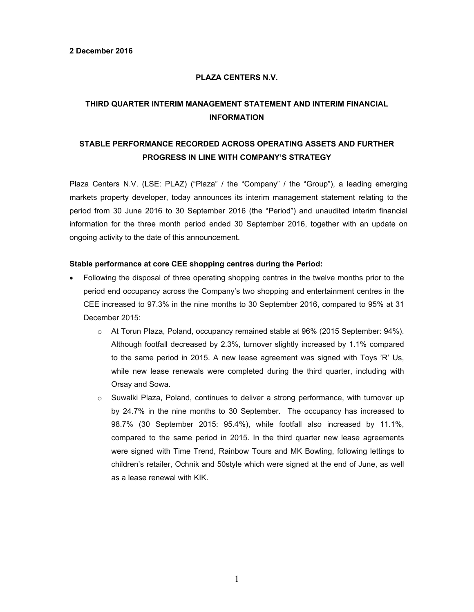# **PLAZA CENTERS N.V.**

# **THIRD QUARTER INTERIM MANAGEMENT STATEMENT AND INTERIM FINANCIAL INFORMATION**

# **STABLE PERFORMANCE RECORDED ACROSS OPERATING ASSETS AND FURTHER PROGRESS IN LINE WITH COMPANY'S STRATEGY**

Plaza Centers N.V. (LSE: PLAZ) ("Plaza" / the "Company" / the "Group"), a leading emerging markets property developer, today announces its interim management statement relating to the period from 30 June 2016 to 30 September 2016 (the "Period") and unaudited interim financial information for the three month period ended 30 September 2016, together with an update on ongoing activity to the date of this announcement.

### **Stable performance at core CEE shopping centres during the Period:**

- Following the disposal of three operating shopping centres in the twelve months prior to the period end occupancy across the Company's two shopping and entertainment centres in the CEE increased to 97.3% in the nine months to 30 September 2016, compared to 95% at 31 December 2015:
	- o At Torun Plaza, Poland, occupancy remained stable at 96% (2015 September: 94%). Although footfall decreased by 2.3%, turnover slightly increased by 1.1% compared to the same period in 2015. A new lease agreement was signed with Toys 'R' Us, while new lease renewals were completed during the third quarter, including with Orsay and Sowa.
	- $\circ$  Suwalki Plaza, Poland, continues to deliver a strong performance, with turnover up by 24.7% in the nine months to 30 September. The occupancy has increased to 98.7% (30 September 2015: 95.4%), while footfall also increased by 11.1%, compared to the same period in 2015. In the third quarter new lease agreements were signed with Time Trend, Rainbow Tours and MK Bowling, following lettings to children's retailer, Ochnik and 50style which were signed at the end of June, as well as a lease renewal with KIK.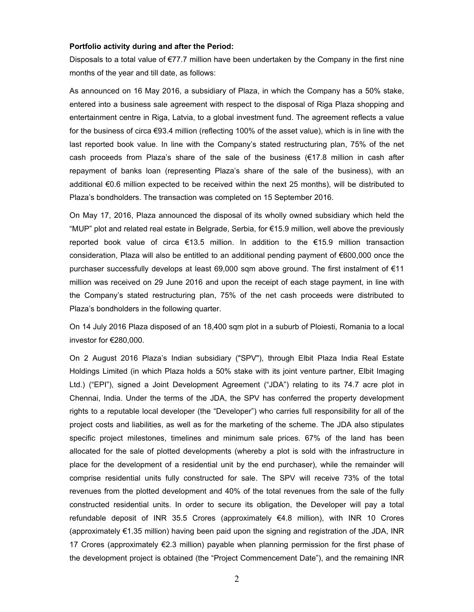#### **Portfolio activity during and after the Period:**

Disposals to a total value of €77.7 million have been undertaken by the Company in the first nine months of the year and till date, as follows:

As announced on 16 May 2016, a subsidiary of Plaza, in which the Company has a 50% stake, entered into a business sale agreement with respect to the disposal of Riga Plaza shopping and entertainment centre in Riga, Latvia, to a global investment fund. The agreement reflects a value for the business of circa €93.4 million (reflecting 100% of the asset value), which is in line with the last reported book value. In line with the Company's stated restructuring plan, 75% of the net cash proceeds from Plaza's share of the sale of the business ( $\epsilon$ 17.8 million in cash after repayment of banks loan (representing Plaza's share of the sale of the business), with an additional €0.6 million expected to be received within the next 25 months), will be distributed to Plaza's bondholders. The transaction was completed on 15 September 2016.

On May 17, 2016, Plaza announced the disposal of its wholly owned subsidiary which held the "MUP" plot and related real estate in Belgrade, Serbia, for €15.9 million, well above the previously reported book value of circa €13.5 million. In addition to the €15.9 million transaction consideration, Plaza will also be entitled to an additional pending payment of €600,000 once the purchaser successfully develops at least 69,000 sqm above ground. The first instalment of €11 million was received on 29 June 2016 and upon the receipt of each stage payment, in line with the Company's stated restructuring plan, 75% of the net cash proceeds were distributed to Plaza's bondholders in the following quarter.

On 14 July 2016 Plaza disposed of an 18,400 sqm plot in a suburb of Ploiesti, Romania to a local investor for €280,000.

On 2 August 2016 Plaza's Indian subsidiary ("SPV"), through Elbit Plaza India Real Estate Holdings Limited (in which Plaza holds a 50% stake with its joint venture partner, Elbit Imaging Ltd.) ("EPI"), signed a Joint Development Agreement ("JDA") relating to its 74.7 acre plot in Chennai, India. Under the terms of the JDA, the SPV has conferred the property development rights to a reputable local developer (the "Developer") who carries full responsibility for all of the project costs and liabilities, as well as for the marketing of the scheme. The JDA also stipulates specific project milestones, timelines and minimum sale prices. 67% of the land has been allocated for the sale of plotted developments (whereby a plot is sold with the infrastructure in place for the development of a residential unit by the end purchaser), while the remainder will comprise residential units fully constructed for sale. The SPV will receive 73% of the total revenues from the plotted development and 40% of the total revenues from the sale of the fully constructed residential units. In order to secure its obligation, the Developer will pay a total refundable deposit of INR 35.5 Crores (approximately  $64.8$  million), with INR 10 Crores (approximately €1.35 million) having been paid upon the signing and registration of the JDA, INR 17 Crores (approximately €2.3 million) payable when planning permission for the first phase of the development project is obtained (the "Project Commencement Date"), and the remaining INR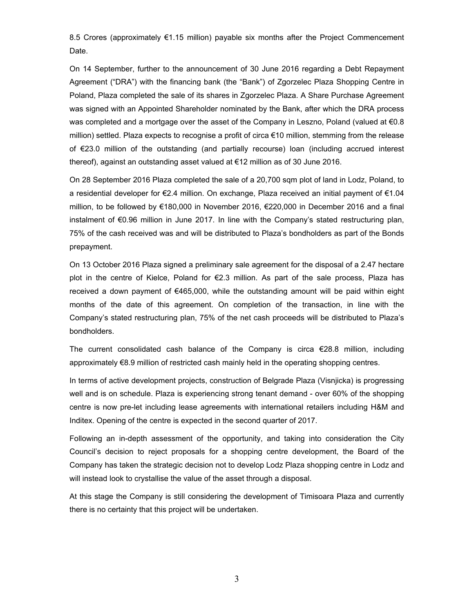8.5 Crores (approximately €1.15 million) payable six months after the Project Commencement Date.

On 14 September, further to the announcement of 30 June 2016 regarding a Debt Repayment Agreement ("DRA") with the financing bank (the "Bank") of Zgorzelec Plaza Shopping Centre in Poland, Plaza completed the sale of its shares in Zgorzelec Plaza. A Share Purchase Agreement was signed with an Appointed Shareholder nominated by the Bank, after which the DRA process was completed and a mortgage over the asset of the Company in Leszno, Poland (valued at  $\epsilon 0.8$ ) million) settled. Plaza expects to recognise a profit of circa €10 million, stemming from the release of €23.0 million of the outstanding (and partially recourse) loan (including accrued interest thereof), against an outstanding asset valued at €12 million as of 30 June 2016.

On 28 September 2016 Plaza completed the sale of a 20,700 sqm plot of land in Lodz, Poland, to a residential developer for €2.4 million. On exchange, Plaza received an initial payment of €1.04 million, to be followed by €180,000 in November 2016, €220,000 in December 2016 and a final instalment of €0.96 million in June 2017. In line with the Company's stated restructuring plan, 75% of the cash received was and will be distributed to Plaza's bondholders as part of the Bonds prepayment.

On 13 October 2016 Plaza signed a preliminary sale agreement for the disposal of a 2.47 hectare plot in the centre of Kielce, Poland for €2.3 million. As part of the sale process, Plaza has received a down payment of €465,000, while the outstanding amount will be paid within eight months of the date of this agreement. On completion of the transaction, in line with the Company's stated restructuring plan, 75% of the net cash proceeds will be distributed to Plaza's bondholders.

The current consolidated cash balance of the Company is circa €28.8 million, including approximately €8.9 million of restricted cash mainly held in the operating shopping centres.

In terms of active development projects, construction of Belgrade Plaza (Visnjicka) is progressing well and is on schedule. Plaza is experiencing strong tenant demand - over 60% of the shopping centre is now pre-let including lease agreements with international retailers including H&M and Inditex. Opening of the centre is expected in the second quarter of 2017.

Following an in-depth assessment of the opportunity, and taking into consideration the City Council's decision to reject proposals for a shopping centre development, the Board of the Company has taken the strategic decision not to develop Lodz Plaza shopping centre in Lodz and will instead look to crystallise the value of the asset through a disposal.

At this stage the Company is still considering the development of Timisoara Plaza and currently there is no certainty that this project will be undertaken.

3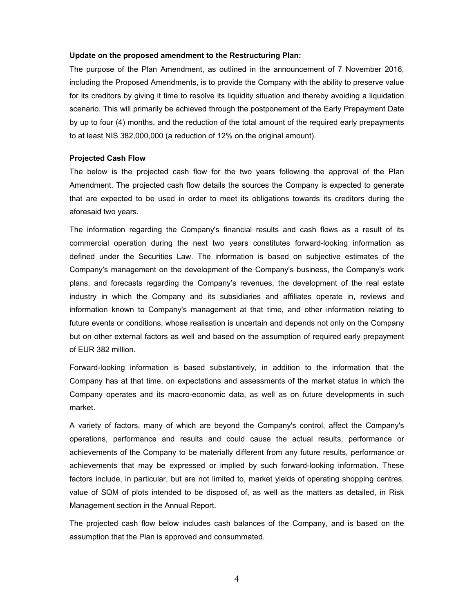#### **Update on the proposed amendment to the Restructuring Plan:**

The purpose of the Plan Amendment, as outlined in the announcement of 7 November 2016, including the Proposed Amendments, is to provide the Company with the ability to preserve value for its creditors by giving it time to resolve its liquidity situation and thereby avoiding a liquidation scenario. This will primarily be achieved through the postponement of the Early Prepayment Date by up to four (4) months, and the reduction of the total amount of the required early prepayments to at least NIS 382,000,000 (a reduction of 12% on the original amount).

#### **Projected Cash Flow**

The below is the projected cash flow for the two years following the approval of the Plan Amendment. The projected cash flow details the sources the Company is expected to generate that are expected to be used in order to meet its obligations towards its creditors during the aforesaid two years.

The information regarding the Company's financial results and cash flows as a result of its commercial operation during the next two years constitutes forward-looking information as defined under the Securities Law. The information is based on subjective estimates of the Company's management on the development of the Company's business, the Company's work plans, and forecasts regarding the Company's revenues, the development of the real estate industry in which the Company and its subsidiaries and affiliates operate in, reviews and information known to Company's management at that time, and other information relating to future events or conditions, whose realisation is uncertain and depends not only on the Company but on other external factors as well and based on the assumption of required early prepayment of EUR 382 million.

Forward-looking information is based substantively, in addition to the information that the Company has at that time, on expectations and assessments of the market status in which the Company operates and its macro-economic data, as well as on future developments in such market.

A variety of factors, many of which are beyond the Company's control, affect the Company's operations, performance and results and could cause the actual results, performance or achievements of the Company to be materially different from any future results, performance or achievements that may be expressed or implied by such forward-looking information. These factors include, in particular, but are not limited to, market yields of operating shopping centres, value of SQM of plots intended to be disposed of, as well as the matters as detailed, in Risk Management section in the Annual Report.

The projected cash flow below includes cash balances of the Company, and is based on the assumption that the Plan is approved and consummated.

4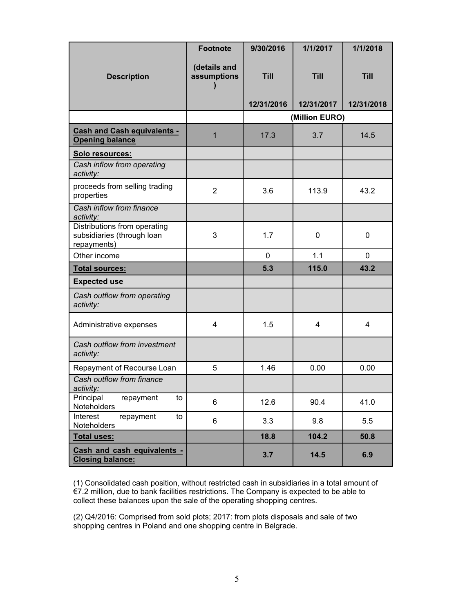|                                                                           | <b>Footnote</b>             | 9/30/2016   | 1/1/2017       | 1/1/2018       |
|---------------------------------------------------------------------------|-----------------------------|-------------|----------------|----------------|
| <b>Description</b>                                                        | (details and<br>assumptions | <b>Till</b> | <b>Till</b>    | <b>Till</b>    |
|                                                                           |                             | 12/31/2016  | 12/31/2017     | 12/31/2018     |
|                                                                           |                             |             | (Million EURO) |                |
| <b>Cash and Cash equivalents -</b><br><b>Opening balance</b>              | 1                           | 17.3        | 3.7            | 14.5           |
| Solo resources:                                                           |                             |             |                |                |
| Cash inflow from operating<br>activity:                                   |                             |             |                |                |
| proceeds from selling trading<br>properties                               | $\overline{2}$              | 3.6         | 113.9          | 43.2           |
| Cash inflow from finance<br>activity:                                     |                             |             |                |                |
| Distributions from operating<br>subsidiaries (through loan<br>repayments) | 3                           | 1.7         | $\mathbf 0$    | 0              |
| Other income                                                              |                             | 0           | 1.1            | $\mathbf{0}$   |
| <b>Total sources:</b>                                                     |                             | 5.3         | 115.0          | 43.2           |
| <b>Expected use</b>                                                       |                             |             |                |                |
| Cash outflow from operating<br>activity:                                  |                             |             |                |                |
| Administrative expenses                                                   | 4                           | 1.5         | $\overline{4}$ | $\overline{4}$ |
| Cash outflow from investment<br>activity:                                 |                             |             |                |                |
| Repayment of Recourse Loan                                                | 5                           | 1.46        | 0.00           | 0.00           |
| Cash outflow from finance<br>activity:                                    |                             |             |                |                |
| Principal<br>repayment<br>to<br>Noteholders                               | 6                           | 12.6        | 90.4           | 41.0           |
| Interest<br>repayment<br>to<br>Noteholders                                | 6                           | 3.3         | 9.8            | 5.5            |
| <b>Total uses:</b>                                                        |                             | 18.8        | 104.2          | 50.8           |
| Cash and cash equivalents -<br><b>Closing balance:</b>                    |                             | 3.7         | 14.5           | 6.9            |

(1) Consolidated cash position, without restricted cash in subsidiaries in a total amount of €7.2 million, due to bank facilities restrictions. The Company is expected to be able to collect these balances upon the sale of the operating shopping centres.

(2) Q4/2016: Comprised from sold plots; 2017: from plots disposals and sale of two shopping centres in Poland and one shopping centre in Belgrade.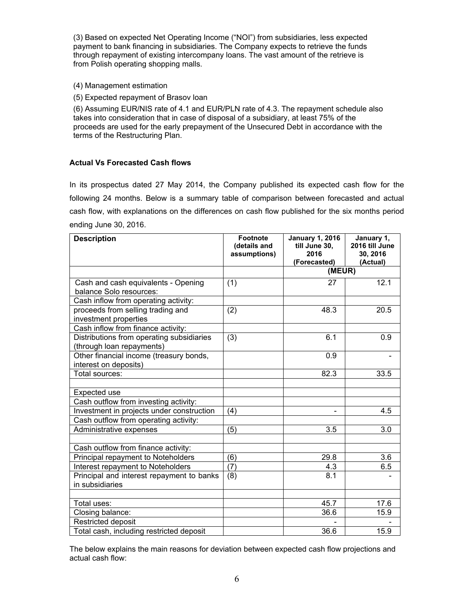(3) Based on expected Net Operating Income ("NOI") from subsidiaries, less expected payment to bank financing in subsidiaries. The Company expects to retrieve the funds through repayment of existing intercompany loans. The vast amount of the retrieve is from Polish operating shopping malls.

- (4) Management estimation
- (5) Expected repayment of Brasov loan

(6) Assuming EUR/NIS rate of 4.1 and EUR/PLN rate of 4.3. The repayment schedule also takes into consideration that in case of disposal of a subsidiary, at least 75% of the proceeds are used for the early prepayment of the Unsecured Debt in accordance with the terms of the Restructuring Plan.

# **Actual Vs Forecasted Cash flows**

In its prospectus dated 27 May 2014, the Company published its expected cash flow for the following 24 months. Below is a summary table of comparison between forecasted and actual cash flow, with explanations on the differences on cash flow published for the six months period ending June 30, 2016.

| <b>Description</b>                                                     | <b>Footnote</b><br>(details and | <b>January 1, 2016</b><br>till June 30,<br>2016 | January 1,<br>2016 till June<br>30, 2016 |
|------------------------------------------------------------------------|---------------------------------|-------------------------------------------------|------------------------------------------|
|                                                                        | assumptions)                    | (Forecasted)                                    | (Actual)                                 |
|                                                                        |                                 | (MEUR)                                          |                                          |
| Cash and cash equivalents - Opening<br>balance Solo resources:         | (1)                             | 27                                              | 12.1                                     |
| Cash inflow from operating activity:                                   |                                 |                                                 |                                          |
| proceeds from selling trading and<br>investment properties             | (2)                             | 48.3                                            | 20.5                                     |
| Cash inflow from finance activity:                                     |                                 |                                                 |                                          |
| Distributions from operating subsidiaries<br>(through loan repayments) | (3)                             | 6.1                                             | 0.9                                      |
| Other financial income (treasury bonds,<br>interest on deposits)       |                                 | 0.9                                             |                                          |
| Total sources:                                                         |                                 | 82.3                                            | 33.5                                     |
|                                                                        |                                 |                                                 |                                          |
| Expected use                                                           |                                 |                                                 |                                          |
| Cash outflow from investing activity:                                  |                                 |                                                 |                                          |
| Investment in projects under construction                              | (4)                             |                                                 | 4.5                                      |
| Cash outflow from operating activity:                                  |                                 |                                                 |                                          |
| Administrative expenses                                                | (5)                             | 3.5                                             | 3.0                                      |
|                                                                        |                                 |                                                 |                                          |
| Cash outflow from finance activity:                                    |                                 |                                                 |                                          |
| Principal repayment to Noteholders                                     | (6)                             | 29.8                                            | 3.6                                      |
| Interest repayment to Noteholders                                      | (7)                             | 4.3                                             | 6.5                                      |
| Principal and interest repayment to banks<br>in subsidiaries           | (8)                             | 8.1                                             |                                          |
|                                                                        |                                 |                                                 |                                          |
| Total uses:                                                            |                                 | 45.7                                            | 17.6                                     |
| Closing balance:                                                       |                                 | 36.6                                            | 15.9                                     |
| Restricted deposit                                                     |                                 |                                                 |                                          |
| Total cash, including restricted deposit                               |                                 | 36.6                                            | 15.9                                     |

The below explains the main reasons for deviation between expected cash flow projections and actual cash flow: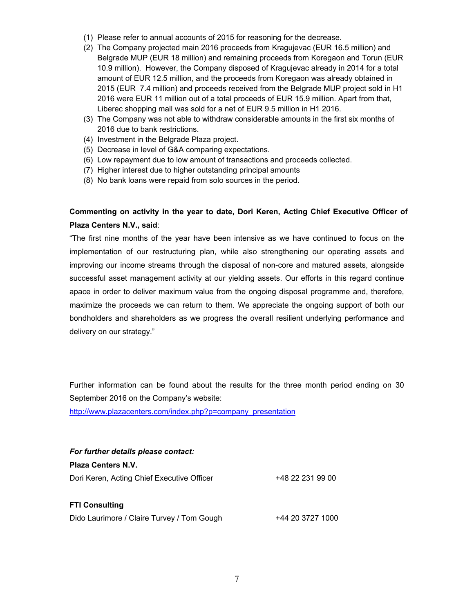- (1) Please refer to annual accounts of 2015 for reasoning for the decrease.
- (2) The Company projected main 2016 proceeds from Kragujevac (EUR 16.5 million) and Belgrade MUP (EUR 18 million) and remaining proceeds from Koregaon and Torun (EUR 10.9 million). However, the Company disposed of Kragujevac already in 2014 for a total amount of EUR 12.5 million, and the proceeds from Koregaon was already obtained in 2015 (EUR 7.4 million) and proceeds received from the Belgrade MUP project sold in H1 2016 were EUR 11 million out of a total proceeds of EUR 15.9 million. Apart from that, Liberec shopping mall was sold for a net of EUR 9.5 million in H1 2016.
- (3) The Company was not able to withdraw considerable amounts in the first six months of 2016 due to bank restrictions.
- (4) Investment in the Belgrade Plaza project.
- (5) Decrease in level of G&A comparing expectations.
- (6) Low repayment due to low amount of transactions and proceeds collected.
- (7) Higher interest due to higher outstanding principal amounts
- (8) No bank loans were repaid from solo sources in the period.

# **Commenting on activity in the year to date, Dori Keren, Acting Chief Executive Officer of Plaza Centers N.V., said**:

"The first nine months of the year have been intensive as we have continued to focus on the implementation of our restructuring plan, while also strengthening our operating assets and improving our income streams through the disposal of non-core and matured assets, alongside successful asset management activity at our yielding assets. Our efforts in this regard continue apace in order to deliver maximum value from the ongoing disposal programme and, therefore, maximize the proceeds we can return to them. We appreciate the ongoing support of both our bondholders and shareholders as we progress the overall resilient underlying performance and delivery on our strategy."

Further information can be found about the results for the three month period ending on 30 September 2016 on the Company's website:

[http://www.plazacenters.com/index.php?p=company\\_presentation](http://www.plazacenters.com/index.php?p=company_presentation)

| For further details please contact:        |                  |
|--------------------------------------------|------------------|
| <b>Plaza Centers N.V.</b>                  |                  |
| Dori Keren, Acting Chief Executive Officer | +48 22 231 99 00 |
| <b>FTI Consulting</b>                      |                  |
| Dido Laurimore / Claire Turvey / Tom Gough | +44 20 3727 1000 |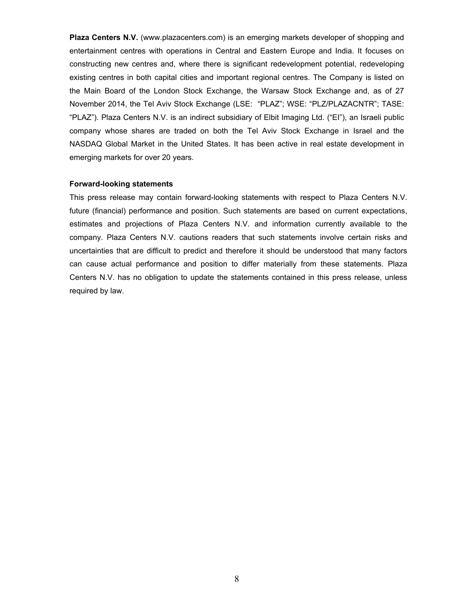**Plaza Centers N.V.** (www.plazacenters.com) is an emerging markets developer of shopping and entertainment centres with operations in Central and Eastern Europe and India. It focuses on constructing new centres and, where there is significant redevelopment potential, redeveloping existing centres in both capital cities and important regional centres. The Company is listed on the Main Board of the London Stock Exchange, the Warsaw Stock Exchange and, as of 27 November 2014, the Tel Aviv Stock Exchange (LSE: "PLAZ"; WSE: "PLZ/PLAZACNTR"; TASE: "PLAZ"). Plaza Centers N.V. is an indirect subsidiary of Elbit Imaging Ltd. ("EI"), an Israeli public company whose shares are traded on both the Tel Aviv Stock Exchange in Israel and the NASDAQ Global Market in the United States. It has been active in real estate development in emerging markets for over 20 years.

#### **Forward-looking statements**

This press release may contain forward-looking statements with respect to Plaza Centers N.V. future (financial) performance and position. Such statements are based on current expectations, estimates and projections of Plaza Centers N.V. and information currently available to the company. Plaza Centers N.V. cautions readers that such statements involve certain risks and uncertainties that are difficult to predict and therefore it should be understood that many factors can cause actual performance and position to differ materially from these statements. Plaza Centers N.V. has no obligation to update the statements contained in this press release, unless required by law.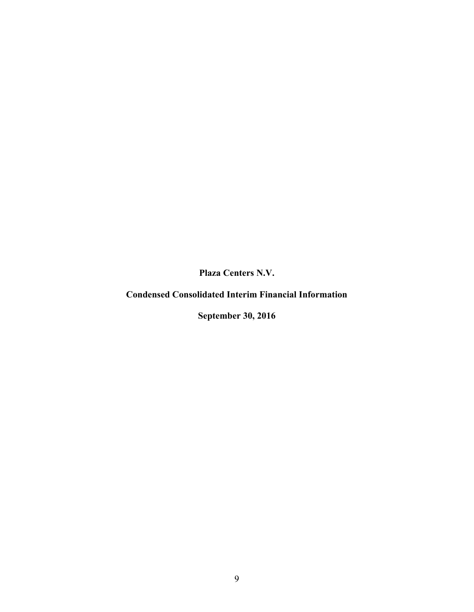**Plaza Centers N.V.**

**Condensed Consolidated Interim Financial Information**

**September 30, 2016**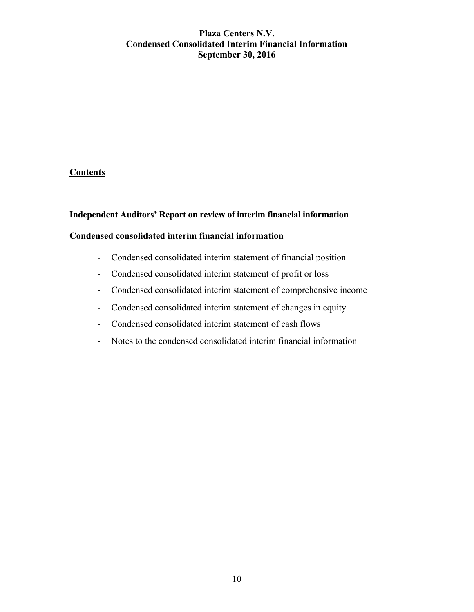# **Plaza Centers N.V. Condensed Consolidated Interim Financial Information September 30, 2016**

# **Contents**

# **Independent Auditors' Report on review of interim financial information**

# **Condensed consolidated interim financial information**

- Condensed consolidated interim statement of financial position
- Condensed consolidated interim statement of profit or loss
- Condensed consolidated interim statement of comprehensive income
- Condensed consolidated interim statement of changes in equity
- Condensed consolidated interim statement of cash flows
- Notes to the condensed consolidated interim financial information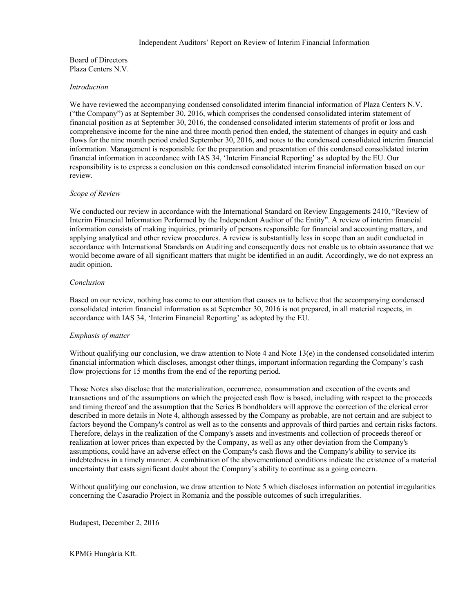#### Independent Auditors' Report on Review of Interim Financial Information

Board of Directors Plaza Centers N.V.

#### *Introduction*

We have reviewed the accompanying condensed consolidated interim financial information of Plaza Centers N.V. ("the Company") as at September 30, 2016, which comprises the condensed consolidated interim statement of financial position as at September 30, 2016, the condensed consolidated interim statements of profit or loss and comprehensive income for the nine and three month period then ended, the statement of changes in equity and cash flows for the nine month period ended September 30, 2016, and notes to the condensed consolidated interim financial information. Management is responsible for the preparation and presentation of this condensed consolidated interim financial information in accordance with IAS 34, 'Interim Financial Reporting' as adopted by the EU. Our responsibility is to express a conclusion on this condensed consolidated interim financial information based on our review.

#### *Scope of Review*

We conducted our review in accordance with the International Standard on Review Engagements 2410, "Review of Interim Financial Information Performed by the Independent Auditor of the Entity". A review of interim financial information consists of making inquiries, primarily of persons responsible for financial and accounting matters, and applying analytical and other review procedures. A review is substantially less in scope than an audit conducted in accordance with International Standards on Auditing and consequently does not enable us to obtain assurance that we would become aware of all significant matters that might be identified in an audit. Accordingly, we do not express an audit opinion.

#### *Conclusion*

Based on our review, nothing has come to our attention that causes us to believe that the accompanying condensed consolidated interim financial information as at September 30, 2016 is not prepared, in all material respects, in accordance with IAS 34, 'Interim Financial Reporting' as adopted by the EU.

#### *Emphasis of matter*

Without qualifying our conclusion, we draw attention to Note 4 and Note 13(e) in the condensed consolidated interim financial information which discloses, amongst other things, important information regarding the Company's cash flow projections for 15 months from the end of the reporting period.

Those Notes also disclose that the materialization, occurrence, consummation and execution of the events and transactions and of the assumptions on which the projected cash flow is based, including with respect to the proceeds and timing thereof and the assumption that the Series B bondholders will approve the correction of the clerical error described in more details in Note 4, although assessed by the Company as probable, are not certain and are subject to factors beyond the Company's control as well as to the consents and approvals of third parties and certain risks factors. Therefore, delays in the realization of the Company's assets and investments and collection of proceeds thereof or realization at lower prices than expected by the Company, as well as any other deviation from the Company's assumptions, could have an adverse effect on the Company's cash flows and the Company's ability to service its indebtedness in a timely manner. A combination of the abovementioned conditions indicate the existence of a material uncertainty that casts significant doubt about the Company's ability to continue as a going concern.

Without qualifying our conclusion, we draw attention to Note 5 which discloses information on potential irregularities concerning the Casaradio Project in Romania and the possible outcomes of such irregularities.

Budapest, December 2, 2016

KPMG Hungária Kft.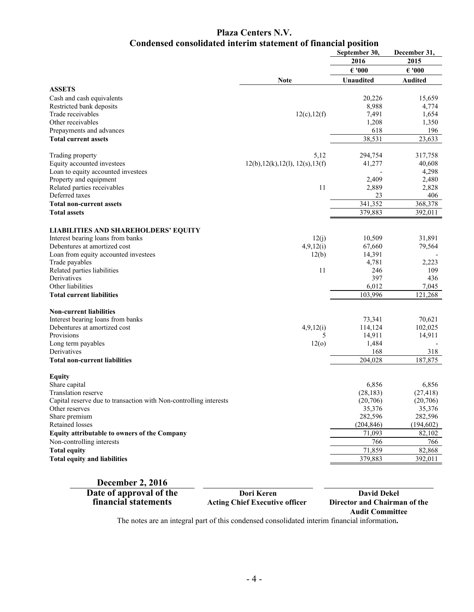# **Plaza Centers N.V. Condensed consolidated interim statement of financial position**

|                                                                                     |                                   | September 30,      | December 31,       |
|-------------------------------------------------------------------------------------|-----------------------------------|--------------------|--------------------|
|                                                                                     |                                   | 2016               | 2015               |
|                                                                                     |                                   | $\epsilon$ '000    | $\epsilon$ '000    |
|                                                                                     | <b>Note</b>                       | <b>Unaudited</b>   | <b>Audited</b>     |
| <b>ASSETS</b>                                                                       |                                   |                    |                    |
| Cash and cash equivalents                                                           |                                   | 20,226             | 15,659             |
| Restricted bank deposits                                                            |                                   | 8,988              | 4,774              |
| Trade receivables                                                                   | 12(c), 12(f)                      | 7,491              | 1,654              |
| Other receivables                                                                   |                                   | 1,208              | 1,350              |
| Prepayments and advances                                                            |                                   | 618                | 196                |
| <b>Total current assets</b>                                                         |                                   | 38,531             | 23,633             |
|                                                                                     |                                   |                    |                    |
| Trading property                                                                    | 5,12                              | 294,754            | 317,758            |
| Equity accounted investees                                                          | 12(b), 12(k), 12(l), 12(s), 13(f) | 41,277             | 40,608             |
| Loan to equity accounted investees                                                  |                                   |                    | 4,298              |
| Property and equipment                                                              |                                   | 2,409              | 2,480              |
| Related parties receivables                                                         | 11                                | 2,889              | 2,828              |
| Deferred taxes                                                                      |                                   | 23                 | 406                |
| <b>Total non-current assets</b>                                                     |                                   | 341,352            | 368,378            |
| <b>Total assets</b>                                                                 |                                   | 379,883            | 392,011            |
| <b>LIABILITIES AND SHAREHOLDERS' EQUITY</b>                                         |                                   |                    |                    |
| Interest bearing loans from banks                                                   | 12(j)                             | 10,509             | 31,891             |
| Debentures at amortized cost                                                        | 4,9,12(i)                         | 67,660             | 79,564             |
| Loan from equity accounted investees                                                | 12(b)                             | 14,391             |                    |
| Trade payables                                                                      |                                   | 4,781              | 2,223              |
| Related parties liabilities                                                         | 11                                | 246                | 109                |
| Derivatives                                                                         |                                   | 397                | 436                |
| Other liabilities                                                                   |                                   | 6,012              | 7,045              |
| <b>Total current liabilities</b>                                                    |                                   | 103,996            | 121,268            |
| <b>Non-current liabilities</b>                                                      |                                   |                    |                    |
| Interest bearing loans from banks                                                   |                                   | 73,341             | 70,621             |
| Debentures at amortized cost                                                        | 4,9,12(i)                         | 114,124            | 102,025            |
| Provisions                                                                          | 5                                 | 14,911             | 14,911             |
| Long term payables                                                                  | 12 <sub>o</sub>                   | 1,484              |                    |
| Derivatives                                                                         |                                   | 168                | 318                |
| <b>Total non-current liabilities</b>                                                |                                   | 204,028            | 187,875            |
|                                                                                     |                                   |                    |                    |
| <b>Equity</b>                                                                       |                                   |                    |                    |
| Share capital<br>Translation reserve                                                |                                   | 6,856<br>(28, 183) | 6,856<br>(27, 418) |
|                                                                                     |                                   | (20,706)           |                    |
| Capital reserve due to transaction with Non-controlling interests<br>Other reserves |                                   | 35,376             | (20,706)<br>35,376 |
| Share premium                                                                       |                                   | 282,596            | 282,596            |
| Retained losses                                                                     |                                   | (204, 846)         | (194, 602)         |
| Equity attributable to owners of the Company                                        |                                   | 71,093             | 82,102             |
| Non-controlling interests                                                           |                                   | 766                | 766                |
| <b>Total equity</b>                                                                 |                                   | 71,859             | 82,868             |
| <b>Total equity and liabilities</b>                                                 |                                   | 379,883            | 392,011            |
|                                                                                     |                                   |                    |                    |

**December 2, 2016 Date of approval of the Dori Keren David Dekel**

**financial statements Acting Chief Executive officer Director and Chairman of the**

**Audit Committee**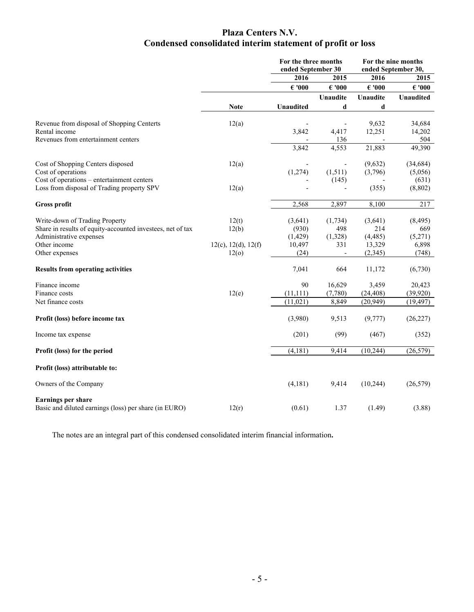# **Plaza Centers N.V. Condensed consolidated interim statement of profit or loss**

|                                                            |                             | For the three months<br>ended September 30 |                 | For the nine months<br>ended September 30, |                 |
|------------------------------------------------------------|-----------------------------|--------------------------------------------|-----------------|--------------------------------------------|-----------------|
|                                                            |                             | 2016                                       | 2015            | 2016                                       | 2015            |
|                                                            |                             | $\epsilon$ '000                            | $\epsilon$ '000 | $\epsilon$ '000                            | $\epsilon$ '000 |
|                                                            |                             |                                            | Unaudite        | Unaudite                                   | Unaudited       |
|                                                            | <b>Note</b>                 | <b>Unaudited</b>                           | d               | d                                          |                 |
| Revenue from disposal of Shopping Centerts                 | 12(a)                       |                                            |                 | 9,632                                      | 34,684          |
| Rental income                                              |                             | 3,842                                      | 4,417           | 12,251                                     | 14,202          |
| Revenues from entertainment centers                        |                             |                                            | 136             |                                            | 504             |
|                                                            |                             | 3,842                                      | 4,553           | 21,883                                     | 49,390          |
| Cost of Shopping Centers disposed                          | 12(a)                       |                                            | $\overline{a}$  | (9,632)                                    | (34, 684)       |
| Cost of operations                                         |                             | (1,274)                                    | (1,511)         | (3,796)                                    | (5,056)         |
| Cost of operations – entertainment centers                 |                             |                                            | (145)           |                                            | (631)           |
| Loss from disposal of Trading property SPV                 | 12(a)                       |                                            |                 | (355)                                      | (8, 802)        |
| <b>Gross profit</b>                                        |                             | 2,568                                      | 2,897           | 8,100                                      | 217             |
| Write-down of Trading Property                             | 12(t)                       | (3,641)                                    | (1,734)         | (3,641)                                    | (8, 495)        |
| Share in results of equity-accounted investees, net of tax | 12(b)                       | (930)                                      | 498             | 214                                        | 669             |
| Administrative expenses                                    |                             | (1, 429)                                   | (1,328)         | (4, 485)                                   | (5,271)         |
| Other income                                               | $12(c)$ , $12(d)$ , $12(f)$ | 10,497                                     | 331             | 13,329                                     | 6,898           |
| Other expenses                                             | 12 <sub>o</sub>             | (24)                                       |                 | (2, 345)                                   | (748)           |
| <b>Results from operating activities</b>                   |                             | 7,041                                      | 664             | 11,172                                     | (6,730)         |
| Finance income                                             |                             | 90                                         | 16,629          | 3,459                                      | 20,423          |
| Finance costs                                              | 12(e)                       | (11, 111)                                  | (7,780)         | (24, 408)                                  | (39, 920)       |
| Net finance costs                                          |                             | (11, 021)                                  | 8,849           | (20, 949)                                  | (19, 497)       |
| Profit (loss) before income tax                            |                             | (3,980)                                    | 9,513           | (9,777)                                    | (26, 227)       |
| Income tax expense                                         |                             | (201)                                      | (99)            | (467)                                      | (352)           |
| Profit (loss) for the period                               |                             | (4, 181)                                   | 9,414           | (10, 244)                                  | (26, 579)       |
| Profit (loss) attributable to:                             |                             |                                            |                 |                                            |                 |
| Owners of the Company                                      |                             | (4,181)                                    | 9,414           | (10,244)                                   | (26, 579)       |
| <b>Earnings per share</b>                                  |                             |                                            |                 |                                            |                 |
| Basic and diluted earnings (loss) per share (in EURO)      | 12(r)                       | (0.61)                                     | 1.37            | (1.49)                                     | (3.88)          |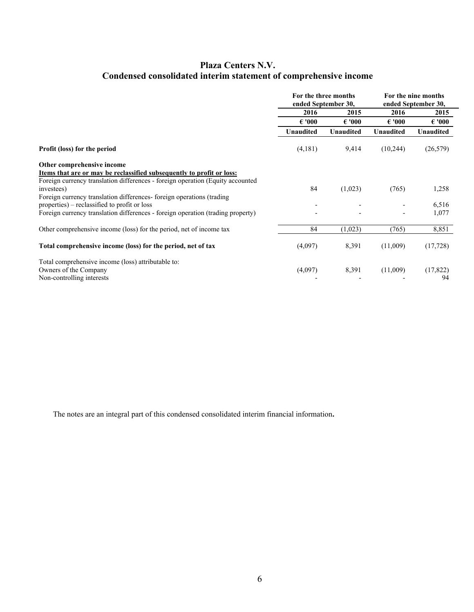# **Plaza Centers N.V. Condensed consolidated interim statement of comprehensive income**

|                                                                                 | For the three months<br>ended September 30, |                  |                  | For the nine months<br>ended September 30, |
|---------------------------------------------------------------------------------|---------------------------------------------|------------------|------------------|--------------------------------------------|
|                                                                                 | 2016                                        | 2015             | 2016             | 2015                                       |
|                                                                                 | $\epsilon$ '000                             | $\epsilon$ '000  | $\epsilon$ '000  | $\epsilon$ '000                            |
|                                                                                 | <b>Unaudited</b>                            | <b>Unaudited</b> | <b>Unaudited</b> | <b>Unaudited</b>                           |
| <b>Profit (loss) for the period</b>                                             | (4,181)                                     | 9,414            | (10,244)         | (26, 579)                                  |
| Other comprehensive income                                                      |                                             |                  |                  |                                            |
| Items that are or may be reclassified subsequently to profit or loss:           |                                             |                  |                  |                                            |
| Foreign currency translation differences - foreign operation (Equity accounted) |                                             |                  |                  |                                            |
| investees)                                                                      | 84                                          | (1,023)          | (765)            | 1,258                                      |
| Foreign currency translation differences- foreign operations (trading           |                                             |                  |                  |                                            |
| properties) – reclassified to profit or loss                                    |                                             |                  |                  | 6,516                                      |
| Foreign currency translation differences - foreign operation (trading property) |                                             |                  |                  | 1,077                                      |
| Other comprehensive income (loss) for the period, net of income tax             | 84                                          | (1,023)          | (765)            | 8,851                                      |
| Total comprehensive income (loss) for the period, net of tax                    | (4,097)                                     | 8,391            | (11,009)         | (17, 728)                                  |
| Total comprehensive income (loss) attributable to:                              |                                             |                  |                  |                                            |
| Owners of the Company                                                           | (4,097)                                     | 8,391            | (11,009)         | (17, 822)                                  |
| Non-controlling interests                                                       |                                             |                  |                  | 94                                         |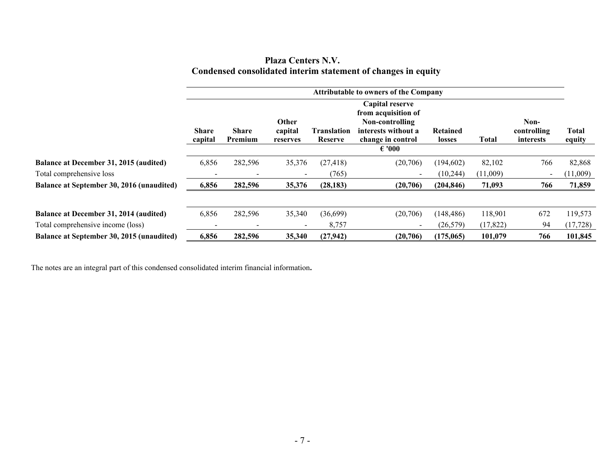|                                                               | <b>Plaza Centers N.V.</b> |  |  |
|---------------------------------------------------------------|---------------------------|--|--|
| Condensed consolidated interim statement of changes in equity |                           |  |  |

|                                           | <b>Attributable to owners of the Company</b> |                          |                              |                               |                                                                                                                          |                    |           |                                  |                 |
|-------------------------------------------|----------------------------------------------|--------------------------|------------------------------|-------------------------------|--------------------------------------------------------------------------------------------------------------------------|--------------------|-----------|----------------------------------|-----------------|
|                                           | <b>Share</b><br>capital                      | <b>Share</b><br>Premium  | Other<br>capital<br>reserves | <b>Translation</b><br>Reserve | Capital reserve<br>from acquisition of<br>Non-controlling<br>interests without a<br>change in control<br>$\epsilon$ '000 | Retained<br>losses | Total     | Non-<br>controlling<br>interests | Total<br>equity |
| Balance at December 31, 2015 (audited)    | 6,856                                        | 282,596                  | 35,376                       | (27, 418)                     | (20,706)                                                                                                                 | (194, 602)         | 82,102    | 766                              | 82,868          |
| Total comprehensive loss                  |                                              | $\overline{\phantom{a}}$ |                              | (765)                         |                                                                                                                          | (10,244)           | (11,009)  | $\overline{\phantom{a}}$         | (11,009)        |
| Balance at September 30, 2016 (unaudited) | 6,856                                        | 282,596                  | 35,376                       | (28, 183)                     | (20,706)                                                                                                                 | (204, 846)         | 71,093    | 766                              | 71,859          |
| Balance at December 31, 2014 (audited)    | 6,856                                        | 282,596                  | 35,340                       | (36, 699)                     | (20,706)                                                                                                                 | (148, 486)         | 118,901   | 672                              | 119,573         |
| Total comprehensive income (loss)         |                                              | $\overline{\phantom{a}}$ |                              | 8,757                         | $\overline{\phantom{0}}$                                                                                                 | (26, 579)          | (17, 822) | 94                               | (17, 728)       |
| Balance at September 30, 2015 (unaudited) | 6,856                                        | 282,596                  | 35,340                       | (27, 942)                     | (20,706)                                                                                                                 | (175,065)          | 101,079   | 766                              | 101,845         |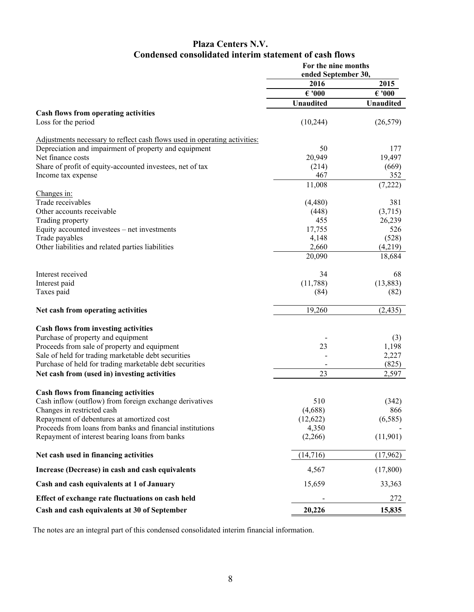# **Plaza Centers N.V. Condensed consolidated interim statement of cash flows**

|                                                                           | For the nine months<br>ended September 30, |                  |  |
|---------------------------------------------------------------------------|--------------------------------------------|------------------|--|
|                                                                           | 2016                                       | 2015             |  |
|                                                                           | $\epsilon$ '000                            | $\epsilon$ '000  |  |
|                                                                           | Unaudited                                  | <b>Unaudited</b> |  |
| <b>Cash flows from operating activities</b>                               |                                            |                  |  |
| Loss for the period                                                       | (10, 244)                                  | (26, 579)        |  |
| Adjustments necessary to reflect cash flows used in operating activities: |                                            |                  |  |
| Depreciation and impairment of property and equipment                     | 50                                         | 177              |  |
| Net finance costs                                                         | 20,949                                     | 19,497           |  |
| Share of profit of equity-accounted investees, net of tax                 | (214)                                      | (669)            |  |
| Income tax expense                                                        | 467                                        | 352              |  |
|                                                                           | 11,008                                     | (7,222)          |  |
| Changes in:                                                               |                                            |                  |  |
| Trade receivables                                                         | (4,480)                                    | 381              |  |
| Other accounts receivable                                                 | (448)                                      | (3,715)          |  |
| Trading property                                                          | 455                                        | 26,239           |  |
| Equity accounted investees - net investments                              | 17,755                                     | 526              |  |
| Trade payables                                                            | 4,148                                      | (528)            |  |
| Other liabilities and related parties liabilities                         | 2,660                                      | (4,219)          |  |
|                                                                           | 20,090                                     | 18,684           |  |
| Interest received                                                         | 34                                         | 68               |  |
| Interest paid                                                             | (11,788)                                   | (13, 883)        |  |
| Taxes paid                                                                | (84)                                       | (82)             |  |
| Net cash from operating activities                                        | 19,260                                     | (2, 435)         |  |
| <b>Cash flows from investing activities</b>                               |                                            |                  |  |
| Purchase of property and equipment                                        |                                            | (3)              |  |
| Proceeds from sale of property and equipment                              | 23                                         | 1,198            |  |
| Sale of held for trading marketable debt securities                       |                                            | 2,227            |  |
| Purchase of held for trading marketable debt securities                   |                                            | (825)            |  |
| Net cash from (used in) investing activities                              | 23                                         | 2,597            |  |
|                                                                           |                                            |                  |  |
| <b>Cash flows from financing activities</b>                               |                                            |                  |  |
| Cash inflow (outflow) from foreign exchange derivatives                   | 510                                        | (342)            |  |
| Changes in restricted cash                                                | (4,688)                                    | 866              |  |
| Repayment of debentures at amortized cost                                 | (12,622)                                   | (6,585)          |  |
| Proceeds from loans from banks and financial institutions                 | 4,350                                      |                  |  |
| Repayment of interest bearing loans from banks                            | (2,266)                                    | (11,901)         |  |
| Net cash used in financing activities                                     | (14,716)                                   | (17,962)         |  |
| Increase (Decrease) in cash and cash equivalents                          | 4,567                                      | (17,800)         |  |
| Cash and cash equivalents at 1 of January                                 | 15,659                                     | 33,363           |  |
| Effect of exchange rate fluctuations on cash held                         |                                            | 272              |  |
| Cash and cash equivalents at 30 of September                              | 20,226                                     | 15,835           |  |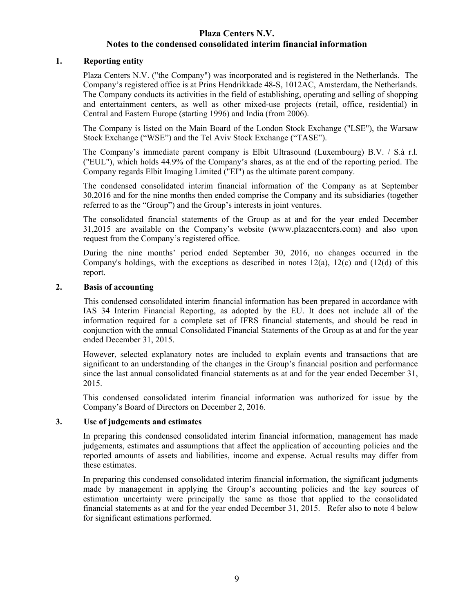# **1. Reporting entity**

Plaza Centers N.V. ("the Company") was incorporated and is registered in the Netherlands. The Company's registered office is at Prins Hendrikkade 48-S, 1012AC, Amsterdam, the Netherlands. The Company conducts its activities in the field of establishing, operating and selling of shopping and entertainment centers, as well as other mixed-use projects (retail, office, residential) in Central and Eastern Europe (starting 1996) and India (from 2006).

The Company is listed on the Main Board of the London Stock Exchange ("LSE"), the Warsaw Stock Exchange ("WSE") and the Tel Aviv Stock Exchange ("TASE").

The Company's immediate parent company is Elbit Ultrasound (Luxembourg) B.V. / S.à r.l. ("EUL"), which holds 44.9% of the Company's shares, as at the end of the reporting period. The Company regards Elbit Imaging Limited ("EI") as the ultimate parent company.

The condensed consolidated interim financial information of the Company as at September 30,2016 and for the nine months then ended comprise the Company and its subsidiaries (together referred to as the "Group") and the Group's interests in joint ventures.

The consolidated financial statements of the Group as at and for the year ended December 31,2015 are available on the Company's website ([www.plazacenters.com](http://www.plazacenters.com/)) and also upon request from the Company's registered office.

During the nine months' period ended September 30, 2016, no changes occurred in the Company's holdings, with the exceptions as described in notes  $12(a)$ ,  $12(c)$  and  $(12(d))$  of this report.

# **2. Basis of accounting**

This condensed consolidated interim financial information has been prepared in accordance with IAS 34 Interim Financial Reporting, as adopted by the EU. It does not include all of the information required for a complete set of IFRS financial statements, and should be read in conjunction with the annual Consolidated Financial Statements of the Group as at and for the year ended December 31, 2015.

However, selected explanatory notes are included to explain events and transactions that are significant to an understanding of the changes in the Group's financial position and performance since the last annual consolidated financial statements as at and for the year ended December 31, 2015.

This condensed consolidated interim financial information was authorized for issue by the Company's Board of Directors on December 2, 2016.

# **3. Use of judgements and estimates**

In preparing this condensed consolidated interim financial information, management has made judgements, estimates and assumptions that affect the application of accounting policies and the reported amounts of assets and liabilities, income and expense. Actual results may differ from these estimates.

In preparing this condensed consolidated interim financial information, the significant judgments made by management in applying the Group's accounting policies and the key sources of estimation uncertainty were principally the same as those that applied to the consolidated financial statements as at and for the year ended December 31, 2015. Refer also to note 4 below for significant estimations performed.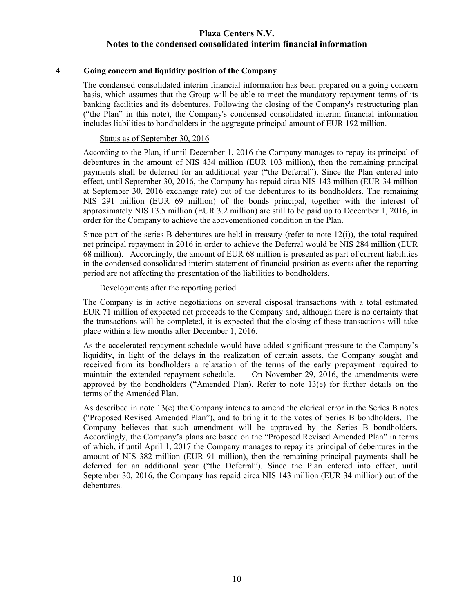### **4 Going concern and liquidity position of the Company**

The condensed consolidated interim financial information has been prepared on a going concern basis, which assumes that the Group will be able to meet the mandatory repayment terms of its banking facilities and its debentures. Following the closing of the Company's restructuring plan ("the Plan" in this note), the Company's condensed consolidated interim financial information includes liabilities to bondholders in the aggregate principal amount of EUR 192 million.

### Status as of September 30, 2016

According to the Plan, if until December 1, 2016 the Company manages to repay its principal of debentures in the amount of NIS 434 million (EUR 103 million), then the remaining principal payments shall be deferred for an additional year ("the Deferral"). Since the Plan entered into effect, until September 30, 2016, the Company has repaid circa NIS 143 million (EUR 34 million at September 30, 2016 exchange rate) out of the debentures to its bondholders. The remaining NIS 291 million (EUR 69 million) of the bonds principal, together with the interest of approximately NIS 13.5 million (EUR 3.2 million) are still to be paid up to December 1, 2016, in order for the Company to achieve the abovementioned condition in the Plan.

Since part of the series B debentures are held in treasury (refer to note  $12(i)$ ), the total required net principal repayment in 2016 in order to achieve the Deferral would be NIS 284 million (EUR 68 million). Accordingly, the amount of EUR 68 million is presented as part of current liabilities in the condensed consolidated interim statement of financial position as events after the reporting period are not affecting the presentation of the liabilities to bondholders.

### Developments after the reporting period

The Company is in active negotiations on several disposal transactions with a total estimated EUR 71 million of expected net proceeds to the Company and, although there is no certainty that the transactions will be completed, it is expected that the closing of these transactions will take place within a few months after December 1, 2016.

As the accelerated repayment schedule would have added significant pressure to the Company's liquidity, in light of the delays in the realization of certain assets, the Company sought and received from its bondholders a relaxation of the terms of the early prepayment required to maintain the extended repayment schedule. On November 29, 2016, the amendments were approved by the bondholders ("Amended Plan). Refer to note  $13(e)$  for further details on the terms of the Amended Plan.

As described in note 13(e) the Company intends to amend the clerical error in the Series B notes ("Proposed Revised Amended Plan"), and to bring it to the votes of Series B bondholders. The Company believes that such amendment will be approved by the Series B bondholders. Accordingly, the Company's plans are based on the "Proposed Revised Amended Plan" in terms of which, if until April 1, 2017 the Company manages to repay its principal of debentures in the amount of NIS 382 million (EUR 91 million), then the remaining principal payments shall be deferred for an additional year ("the Deferral"). Since the Plan entered into effect, until September 30, 2016, the Company has repaid circa NIS 143 million (EUR 34 million) out of the debentures.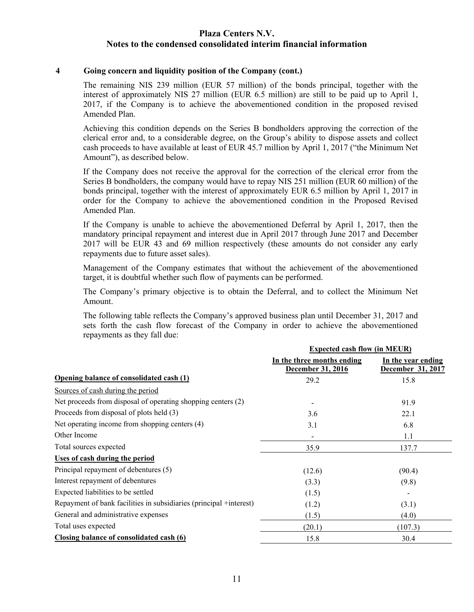### **4 Going concern and liquidity position of the Company (cont.)**

The remaining NIS 239 million (EUR 57 million) of the bonds principal, together with the interest of approximately NIS 27 million (EUR 6.5 million) are still to be paid up to April 1, 2017, if the Company is to achieve the abovementioned condition in the proposed revised Amended Plan.

Achieving this condition depends on the Series B bondholders approving the correction of the clerical error and, to a considerable degree, on the Group's ability to dispose assets and collect cash proceeds to have available at least of EUR 45.7 million by April 1, 2017 ("the Minimum Net Amount"), as described below.

If the Company does not receive the approval for the correction of the clerical error from the Series B bondholders, the company would have to repay NIS 251 million (EUR 60 million) of the bonds principal, together with the interest of approximately EUR 6.5 million by April 1, 2017 in order for the Company to achieve the abovementioned condition in the Proposed Revised Amended Plan.

If the Company is unable to achieve the abovementioned Deferral by April 1, 2017, then the mandatory principal repayment and interest due in April 2017 through June 2017 and December 2017 will be EUR 43 and 69 million respectively (these amounts do not consider any early repayments due to future asset sales).

Management of the Company estimates that without the achievement of the abovementioned target, it is doubtful whether such flow of payments can be performed.

The Company's primary objective is to obtain the Deferral, and to collect the Minimum Net Amount.

The following table reflects the Company's approved business plan until December 31, 2017 and sets forth the cash flow forecast of the Company in order to achieve the abovementioned repayments as they fall due:

|                                                                    | <b>Expected cash flow (in MEUR)</b>             |                                         |  |  |
|--------------------------------------------------------------------|-------------------------------------------------|-----------------------------------------|--|--|
|                                                                    | In the three months ending<br>December 31, 2016 | In the year ending<br>December 31, 2017 |  |  |
| Opening balance of consolidated cash (1)                           | 29.2                                            | 15.8                                    |  |  |
| Sources of cash during the period                                  |                                                 |                                         |  |  |
| Net proceeds from disposal of operating shopping centers (2)       |                                                 | 91.9                                    |  |  |
| Proceeds from disposal of plots held (3)                           | 3.6                                             | 22.1                                    |  |  |
| Net operating income from shopping centers (4)                     | 3.1                                             | 6.8                                     |  |  |
| Other Income                                                       | $\overline{\phantom{a}}$                        | 1.1                                     |  |  |
| Total sources expected                                             | 35.9                                            | 137.7                                   |  |  |
| Uses of cash during the period                                     |                                                 |                                         |  |  |
| Principal repayment of debentures (5)                              | (12.6)                                          | (90.4)                                  |  |  |
| Interest repayment of debentures                                   | (3.3)                                           | (9.8)                                   |  |  |
| Expected liabilities to be settled                                 | (1.5)                                           |                                         |  |  |
| Repayment of bank facilities in subsidiaries (principal +interest) | (1.2)                                           | (3.1)                                   |  |  |
| General and administrative expenses                                | (1.5)                                           | (4.0)                                   |  |  |
| Total uses expected                                                | (20.1)                                          | (107.3)                                 |  |  |
| Closing balance of consolidated cash (6)                           | 15.8                                            | 30.4                                    |  |  |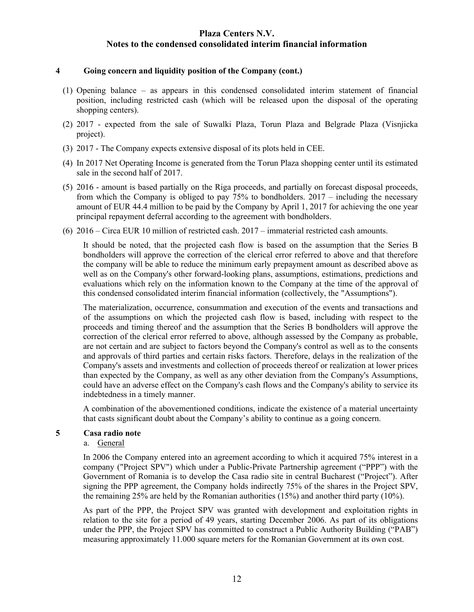### **4 Going concern and liquidity position of the Company (cont.)**

- (1) Opening balance as appears in this condensed consolidated interim statement of financial position, including restricted cash (which will be released upon the disposal of the operating shopping centers).
- (2) 2017 expected from the sale of Suwalki Plaza, Torun Plaza and Belgrade Plaza (Visnjicka project).
- (3) 2017 The Company expects extensive disposal of its plots held in CEE.
- (4) In 2017 Net Operating Income is generated from the Torun Plaza shopping center until its estimated sale in the second half of 2017.
- (5) 2016 amount is based partially on the Riga proceeds, and partially on forecast disposal proceeds, from which the Company is obliged to pay 75% to bondholders. 2017 – including the necessary amount of EUR 44.4 million to be paid by the Company by April 1, 2017 for achieving the one year principal repayment deferral according to the agreement with bondholders.
- (6) 2016 Circa EUR 10 million of restricted cash. 2017 immaterial restricted cash amounts.

It should be noted, that the projected cash flow is based on the assumption that the Series B bondholders will approve the correction of the clerical error referred to above and that therefore the company will be able to reduce the minimum early prepayment amount as described above as well as on the Company's other forward-looking plans, assumptions, estimations, predictions and evaluations which rely on the information known to the Company at the time of the approval of this condensed consolidated interim financial information (collectively, the "Assumptions").

The materialization, occurrence, consummation and execution of the events and transactions and of the assumptions on which the projected cash flow is based, including with respect to the proceeds and timing thereof and the assumption that the Series B bondholders will approve the correction of the clerical error referred to above, although assessed by the Company as probable, are not certain and are subject to factors beyond the Company's control as well as to the consents and approvals of third parties and certain risks factors. Therefore, delays in the realization of the Company's assets and investments and collection of proceeds thereof or realization at lower prices than expected by the Company, as well as any other deviation from the Company's Assumptions, could have an adverse effect on the Company's cash flows and the Company's ability to service its indebtedness in a timely manner.

A combination of the abovementioned conditions, indicate the existence of a material uncertainty that casts significant doubt about the Company's ability to continue as a going concern.

# **5 Casa radio note**

# a. General

In 2006 the Company entered into an agreement according to which it acquired 75% interest in a company ("Project SPV") which under a Public-Private Partnership agreement ("PPP") with the Government of Romania is to develop the Casa radio site in central Bucharest ("Project"). After signing the PPP agreement, the Company holds indirectly 75% of the shares in the Project SPV, the remaining 25% are held by the Romanian authorities (15%) and another third party (10%).

As part of the PPP, the Project SPV was granted with development and exploitation rights in relation to the site for a period of 49 years, starting December 2006. As part of its obligations under the PPP, the Project SPV has committed to construct a Public Authority Building ("PAB") measuring approximately 11.000 square meters for the Romanian Government at its own cost.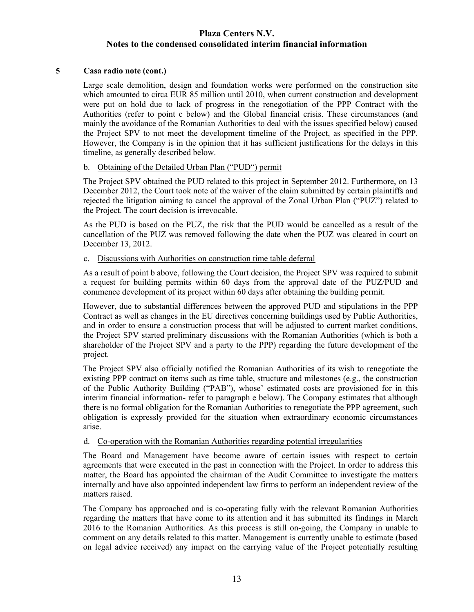# **5 Casa radio note (cont.)**

Large scale demolition, design and foundation works were performed on the construction site which amounted to circa EUR 85 million until 2010, when current construction and development were put on hold due to lack of progress in the renegotiation of the PPP Contract with the Authorities (refer to point c below) and the Global financial crisis. These circumstances (and mainly the avoidance of the Romanian Authorities to deal with the issues specified below) caused the Project SPV to not meet the development timeline of the Project, as specified in the PPP. However, the Company is in the opinion that it has sufficient justifications for the delays in this timeline, as generally described below.

### b. Obtaining of the Detailed Urban Plan ("PUD") permit

The Project SPV obtained the PUD related to this project in September 2012. Furthermore, on 13 December 2012, the Court took note of the waiver of the claim submitted by certain plaintiffs and rejected the litigation aiming to cancel the approval of the Zonal Urban Plan ("PUZ") related to the Project. The court decision is irrevocable.

As the PUD is based on the PUZ, the risk that the PUD would be cancelled as a result of the cancellation of the PUZ was removed following the date when the PUZ was cleared in court on December 13, 2012.

### c. Discussions with Authorities on construction time table deferral

As a result of point b above, following the Court decision, the Project SPV was required to submit a request for building permits within 60 days from the approval date of the PUZ/PUD and commence development of its project within 60 days after obtaining the building permit.

However, due to substantial differences between the approved PUD and stipulations in the PPP Contract as well as changes in the EU directives concerning buildings used by Public Authorities, and in order to ensure a construction process that will be adjusted to current market conditions, the Project SPV started preliminary discussions with the Romanian Authorities (which is both a shareholder of the Project SPV and a party to the PPP) regarding the future development of the project.

The Project SPV also officially notified the Romanian Authorities of its wish to renegotiate the existing PPP contract on items such as time table, structure and milestones (e.g., the construction of the Public Authority Building ("PAB"), whose' estimated costs are provisioned for in this interim financial information- refer to paragraph e below). The Company estimates that although there is no formal obligation for the Romanian Authorities to renegotiate the PPP agreement, such obligation is expressly provided for the situation when extraordinary economic circumstances arise.

#### d. Co-operation with the Romanian Authorities regarding potential irregularities

The Board and Management have become aware of certain issues with respect to certain agreements that were executed in the past in connection with the Project. In order to address this matter, the Board has appointed the chairman of the Audit Committee to investigate the matters internally and have also appointed independent law firms to perform an independent review of the matters raised.

The Company has approached and is co-operating fully with the relevant Romanian Authorities regarding the matters that have come to its attention and it has submitted its findings in March 2016 to the Romanian Authorities. As this process is still on-going, the Company in unable to comment on any details related to this matter. Management is currently unable to estimate (based on legal advice received) any impact on the carrying value of the Project potentially resulting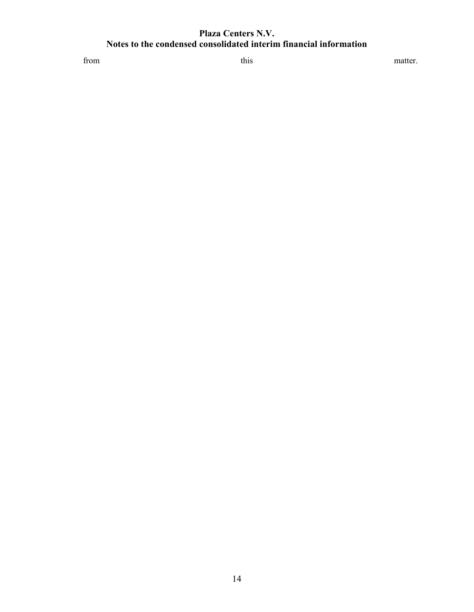from this this matter.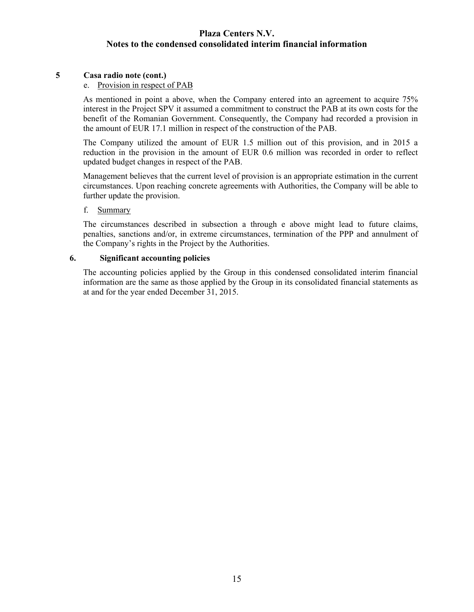# **5 Casa radio note (cont.)**

# e. Provision in respect of PAB

As mentioned in point a above, when the Company entered into an agreement to acquire 75% interest in the Project SPV it assumed a commitment to construct the PAB at its own costs for the benefit of the Romanian Government. Consequently, the Company had recorded a provision in the amount of EUR 17.1 million in respect of the construction of the PAB.

The Company utilized the amount of EUR 1.5 million out of this provision, and in 2015 a reduction in the provision in the amount of EUR 0.6 million was recorded in order to reflect updated budget changes in respect of the PAB.

Management believes that the current level of provision is an appropriate estimation in the current circumstances. Upon reaching concrete agreements with Authorities, the Company will be able to further update the provision.

### f. Summary

The circumstances described in subsection a through e above might lead to future claims, penalties, sanctions and/or, in extreme circumstances, termination of the PPP and annulment of the Company's rights in the Project by the Authorities.

# **6. Significant accounting policies**

The accounting policies applied by the Group in this condensed consolidated interim financial information are the same as those applied by the Group in its consolidated financial statements as at and for the year ended December 31, 2015.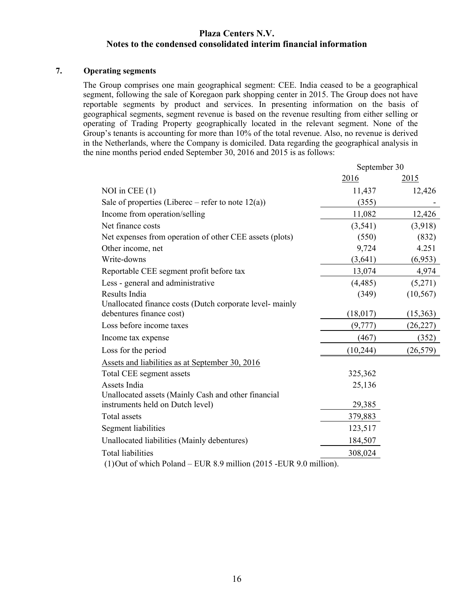# **7. Operating segments**

The Group comprises one main geographical segment: CEE. India ceased to be a geographical segment, following the sale of Koregaon park shopping center in 2015. The Group does not have reportable segments by product and services. In presenting information on the basis of geographical segments, segment revenue is based on the revenue resulting from either selling or operating of Trading Property geographically located in the relevant segment. None of the Group's tenants is accounting for more than 10% of the total revenue. Also, no revenue is derived in the Netherlands, where the Company is domiciled. Data regarding the geographical analysis in the nine months period ended September 30, 2016 and 2015 is as follows:

|                                                                     | September 30 |           |  |
|---------------------------------------------------------------------|--------------|-----------|--|
|                                                                     | 2016         | 2015      |  |
| NOI in CEE $(1)$                                                    | 11,437       | 12,426    |  |
| Sale of properties (Liberec – refer to note $12(a)$ )               | (355)        |           |  |
| Income from operation/selling                                       | 11,082       | 12,426    |  |
| Net finance costs                                                   | (3,541)      | (3,918)   |  |
| Net expenses from operation of other CEE assets (plots)             | (550)        | (832)     |  |
| Other income, net                                                   | 9,724        | 4.251     |  |
| Write-downs                                                         | (3,641)      | (6,953)   |  |
| Reportable CEE segment profit before tax                            | 13,074       | 4,974     |  |
| Less - general and administrative                                   | (4, 485)     | (5,271)   |  |
| Results India                                                       | (349)        | (10, 567) |  |
| Unallocated finance costs (Dutch corporate level-mainly             |              |           |  |
| debentures finance cost)                                            | (18,017)     | (15,363)  |  |
| Loss before income taxes                                            | (9,777)      | (26, 227) |  |
| Income tax expense                                                  | (467)        | (352)     |  |
| Loss for the period                                                 | (10,244)     | (26, 579) |  |
| Assets and liabilities as at September 30, 2016                     |              |           |  |
| Total CEE segment assets                                            | 325,362      |           |  |
| Assets India                                                        | 25,136       |           |  |
| Unallocated assets (Mainly Cash and other financial                 |              |           |  |
| instruments held on Dutch level)                                    | 29,385       |           |  |
| <b>Total</b> assets                                                 | 379,883      |           |  |
| Segment liabilities                                                 | 123,517      |           |  |
| Unallocated liabilities (Mainly debentures)                         | 184,507      |           |  |
| <b>Total liabilities</b>                                            | 308,024      |           |  |
| (1) Out of which Poland – EUR 8.9 million (2015 - EUR 9.0 million). |              |           |  |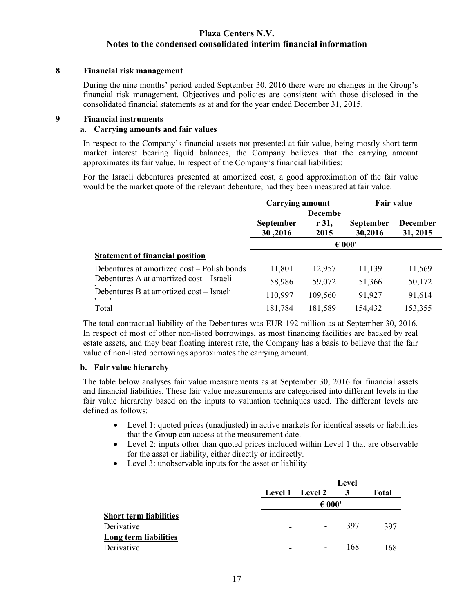### **8 Financial risk management**

During the nine months' period ended September 30, 2016 there were no changes in the Group's financial risk management. Objectives and policies are consistent with those disclosed in the consolidated financial statements as at and for the year ended December 31, 2015.

### **9 Financial instruments**

# **a. Carrying amounts and fair values**

In respect to the Company's financial assets not presented at fair value, being mostly short term market interest bearing liquid balances, the Company believes that the carrying amount approximates its fair value. In respect of the Company's financial liabilities:

For the Israeli debentures presented at amortized cost, a good approximation of the fair value would be the market quote of the relevant debenture, had they been measured at fair value.

|                                                | Carrying amount  |                | Fair value       |                 |  |
|------------------------------------------------|------------------|----------------|------------------|-----------------|--|
|                                                |                  | <b>Decembe</b> |                  |                 |  |
|                                                | <b>September</b> | r 31,          | <b>September</b> | <b>December</b> |  |
|                                                | 30,2016          | 2015           | 30,2016          | 31, 2015        |  |
|                                                |                  |                | $\epsilon$ 000'  |                 |  |
| <b>Statement of financial position</b>         |                  |                |                  |                 |  |
| Debentures at amortized cost – Polish bonds    | 11,801           | 12,957         | 11,139           | 11,569          |  |
| Debentures A at amortized cost – Israeli       | 58,986           | 59,072         | 51,366           | 50,172          |  |
| Debentures B at amortized cost - Israeli<br>п. | 110,997          | 109,560        | 91,927           | 91,614          |  |
| Total                                          | 181,784          | 181,589        | 154,432          | 153,355         |  |

The total contractual liability of the Debentures was EUR 192 million as at September 30, 2016. In respect of most of other non-listed borrowings, as most financing facilities are backed by real estate assets, and they bear floating interest rate, the Company has a basis to believe that the fair value of non-listed borrowings approximates the carrying amount.

# **b. Fair value hierarchy**

The table below analyses fair value measurements as at September 30, 2016 for financial assets and financial liabilities. These fair value measurements are categorised into different levels in the fair value hierarchy based on the inputs to valuation techniques used. The different levels are defined as follows:

- Level 1: quoted prices (unadjusted) in active markets for identical assets or liabilities that the Group can access at the measurement date.
- Level 2: inputs other than quoted prices included within Level 1 that are observable for the asset or liability, either directly or indirectly.
- Level 3: unobservable inputs for the asset or liability

|                               |                          | Level                        |     |              |  |
|-------------------------------|--------------------------|------------------------------|-----|--------------|--|
|                               |                          | Level 1 Level 2              | 3   | <b>Total</b> |  |
|                               |                          | $\epsilon$ 000'              |     |              |  |
| <b>Short term liabilities</b> |                          |                              |     |              |  |
| Derivative                    | $\overline{\phantom{0}}$ | $\overline{\phantom{a}}$     | 397 | 397          |  |
| Long term liabilities         |                          |                              |     |              |  |
| Derivative                    |                          | $\qquad \qquad \blacksquare$ | 168 | 168          |  |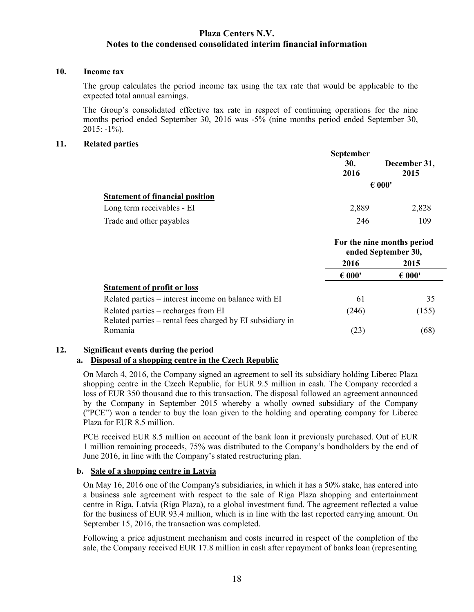# **10. Income tax**

The group calculates the period income tax using the tax rate that would be applicable to the expected total annual earnings.

The Group's consolidated effective tax rate in respect of continuing operations for the nine months period ended September 30, 2016 was -5% (nine months period ended September 30,  $2015: -1\%$ ).

### **11. Related parties**

|                                        | <b>September</b><br>30,<br>2016 | December 31,<br>2015 |  |  |
|----------------------------------------|---------------------------------|----------------------|--|--|
|                                        |                                 | $\epsilon$ 000'      |  |  |
| <b>Statement of financial position</b> |                                 |                      |  |  |
| Long term receivables - EI             | 2,889                           | 2,828                |  |  |
| Trade and other payables               | 246                             | 109                  |  |  |

|                                                                                                  |                 | For the nine months period<br>ended September 30, |  |
|--------------------------------------------------------------------------------------------------|-----------------|---------------------------------------------------|--|
|                                                                                                  | 2016            | 2015                                              |  |
|                                                                                                  | $\epsilon$ 000' | $\epsilon$ 000'                                   |  |
| <b>Statement of profit or loss</b>                                                               |                 |                                                   |  |
| Related parties – interest income on balance with EI                                             | 61              | 35                                                |  |
| Related parties – recharges from EI<br>Related parties - rental fees charged by EI subsidiary in | (246)           | (155)                                             |  |
| Romania                                                                                          | (23)            | 68                                                |  |

# **12. Significant events during the period**

# **a. Disposal of a shopping centre in the Czech Republic**

On March 4, 2016, the Company signed an agreement to sell its subsidiary holding Liberec Plaza shopping centre in the Czech Republic, for EUR 9.5 million in cash. The Company recorded a loss of EUR 350 thousand due to this transaction. The disposal followed an agreement announced by the Company in September 2015 whereby a wholly owned subsidiary of the Company ("PCE") won a tender to buy the loan given to the holding and operating company for Liberec Plaza for EUR 8.5 million.

PCE received EUR 8.5 million on account of the bank loan it previously purchased. Out of EUR 1 million remaining proceeds, 75% was distributed to the Company's bondholders by the end of June 2016, in line with the Company's stated restructuring plan.

#### **b. Sale of a shopping centre in Latvia**

On May 16, 2016 one of the Company's subsidiaries, in which it has a 50% stake, has entered into a business sale agreement with respect to the sale of Riga Plaza shopping and entertainment centre in Riga, Latvia (Riga Plaza), to a global investment fund. The agreement reflected a value for the business of EUR 93.4 million, which is in line with the last reported carrying amount. On September 15, 2016, the transaction was completed.

Following a price adjustment mechanism and costs incurred in respect of the completion of the sale, the Company received EUR 17.8 million in cash after repayment of banks loan (representing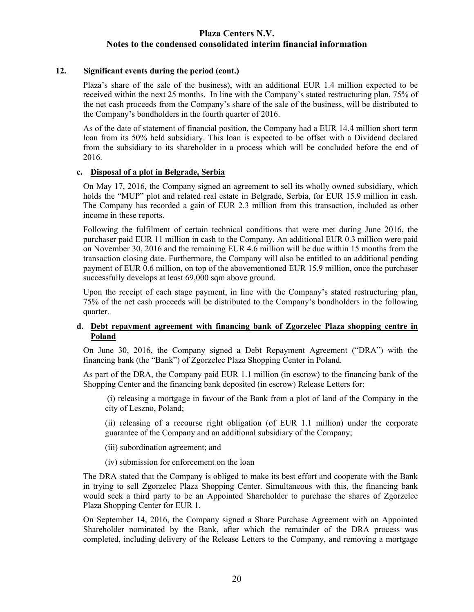### **12. Significant events during the period (cont.)**

Plaza's share of the sale of the business), with an additional EUR 1.4 million expected to be received within the next 25 months. In line with the Company's stated restructuring plan, 75% of the net cash proceeds from the Company's share of the sale of the business, will be distributed to the Company's bondholders in the fourth quarter of 2016.

As of the date of statement of financial position, the Company had a EUR 14.4 million short term loan from its 50% held subsidiary. This loan is expected to be offset with a Dividend declared from the subsidiary to its shareholder in a process which will be concluded before the end of 2016.

### **c. Disposal of a plot in Belgrade, Serbia**

On May 17, 2016, the Company signed an agreement to sell its wholly owned subsidiary, which holds the "MUP" plot and related real estate in Belgrade, Serbia, for EUR 15.9 million in cash. The Company has recorded a gain of EUR 2.3 million from this transaction, included as other income in these reports.

Following the fulfilment of certain technical conditions that were met during June 2016, the purchaser paid EUR 11 million in cash to the Company. An additional EUR 0.3 million were paid on November 30, 2016 and the remaining EUR 4.6 million will be due within 15 months from the transaction closing date. Furthermore, the Company will also be entitled to an additional pending payment of EUR 0.6 million, on top of the abovementioned EUR 15.9 million, once the purchaser successfully develops at least 69,000 sqm above ground.

Upon the receipt of each stage payment, in line with the Company's stated restructuring plan, 75% of the net cash proceeds will be distributed to the Company's bondholders in the following quarter.

# **d. Debt repayment agreement with financing bank of Zgorzelec Plaza shopping centre in Poland**

On June 30, 2016, the Company signed a Debt Repayment Agreement ("DRA") with the financing bank (the "Bank") of Zgorzelec Plaza Shopping Center in Poland.

As part of the DRA, the Company paid EUR 1.1 million (in escrow) to the financing bank of the Shopping Center and the financing bank deposited (in escrow) Release Letters for:

(i) releasing a mortgage in favour of the Bank from a plot of land of the Company in the city of Leszno, Poland;

(ii) releasing of a recourse right obligation (of EUR 1.1 million) under the corporate guarantee of the Company and an additional subsidiary of the Company;

- (iii) subordination agreement; and
- (iv) submission for enforcement on the loan

The DRA stated that the Company is obliged to make its best effort and cooperate with the Bank in trying to sell Zgorzelec Plaza Shopping Center. Simultaneous with this, the financing bank would seek a third party to be an Appointed Shareholder to purchase the shares of Zgorzelec Plaza Shopping Center for EUR 1.

On September 14, 2016, the Company signed a Share Purchase Agreement with an Appointed Shareholder nominated by the Bank, after which the remainder of the DRA process was completed, including delivery of the Release Letters to the Company, and removing a mortgage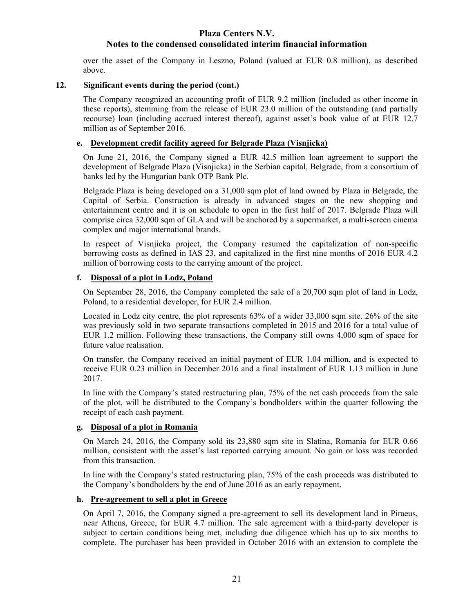# **Plaza Centers N.V.**

# **Notes to the condensed consolidated interim financial information**

over the asset of the Company in Leszno, Poland (valued at EUR 0.8 million), as described above.

# **12. Significant events during the period (cont.)**

The Company recognized an accounting profit of EUR 9.2 million (included as other income in these reports), stemming from the release of EUR 23.0 million of the outstanding (and partially recourse) loan (including accrued interest thereof), against asset's book value of at EUR 12.7 million as of September 2016.

# **e. Development credit facility agreed for Belgrade Plaza (Visnjicka)**

On June 21, 2016, the Company signed a EUR 42.5 million loan agreement to support the development of Belgrade Plaza (Visnjicka) in the Serbian capital, Belgrade, from a consortium of banks led by the Hungarian bank OTP Bank Plc.

Belgrade Plaza is being developed on a 31,000 sqm plot of land owned by Plaza in Belgrade, the Capital of Serbia. Construction is already in advanced stages on the new shopping and entertainment centre and it is on schedule to open in the first half of 2017. Belgrade Plaza will comprise circa 32,000 sqm of GLA and will be anchored by a supermarket, a multi-screen cinema complex and major international brands.

In respect of Visnjicka project, the Company resumed the capitalization of non-specific borrowing costs as defined in IAS 23, and capitalized in the first nine months of 2016 EUR 4.2 million of borrowing costs to the carrying amount of the project.

# **f. Disposal of a plot in Lodz, Poland**

On September 28, 2016, the Company completed the sale of a 20,700 sqm plot of land in Lodz, Poland, to a residential developer, for EUR 2.4 million.

Located in Lodz city centre, the plot represents 63% of a wider 33,000 sqm site. 26% of the site was previously sold in two separate transactions completed in 2015 and 2016 for a total value of EUR 1.2 million. Following these transactions, the Company still owns 4,000 sqm of space for future value realisation.

On transfer, the Company received an initial payment of EUR 1.04 million, and is expected to receive EUR 0.23 million in December 2016 and a final instalment of EUR 1.13 million in June 2017.

In line with the Company's stated restructuring plan, 75% of the net cash proceeds from the sale of the plot, will be distributed to the Company's bondholders within the quarter following the receipt of each cash payment.

# **g. Disposal of a plot in Romania**

On March 24, 2016, the Company sold its 23,880 sqm site in Slatina, Romania for EUR 0.66 million, consistent with the asset's last reported carrying amount. No gain or loss was recorded from this transaction.

In line with the Company's stated restructuring plan, 75% of the cash proceeds was distributed to the Company's bondholders by the end of June 2016 as an early repayment.

# **h. Pre-agreement to sell a plot in Greece**

On April 7, 2016, the Company signed a pre-agreement to sell its development land in Piraeus, near Athens, Greece, for EUR 4.7 million. The sale agreement with a third-party developer is subject to certain conditions being met, including due diligence which has up to six months to complete. The purchaser has been provided in October 2016 with an extension to complete the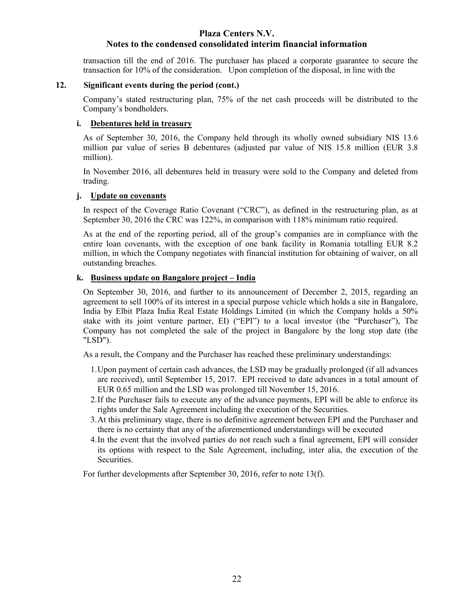# **Plaza Centers N.V.**

# **Notes to the condensed consolidated interim financial information**

transaction till the end of 2016. The purchaser has placed a corporate guarantee to secure the transaction for 10% of the consideration. Upon completion of the disposal, in line with the

# **12. Significant events during the period (cont.)**

Company's stated restructuring plan, 75% of the net cash proceeds will be distributed to the Company's bondholders.

# **i. Debentures held in treasury**

As of September 30, 2016, the Company held through its wholly owned subsidiary NIS 13.6 million par value of series B debentures (adjusted par value of NIS 15.8 million (EUR 3.8 million).

In November 2016, all debentures held in treasury were sold to the Company and deleted from trading.

# **j. Update on covenants**

In respect of the Coverage Ratio Covenant ("CRC"), as defined in the restructuring plan, as at September 30, 2016 the CRC was 122%, in comparison with 118% minimum ratio required.

As at the end of the reporting period, all of the group's companies are in compliance with the entire loan covenants, with the exception of one bank facility in Romania totalling EUR 8.2 million, in which the Company negotiates with financial institution for obtaining of waiver, on all outstanding breaches.

# **k. Business update on Bangalore project – India**

On September 30, 2016, and further to its announcement of December 2, 2015, regarding an agreement to sell 100% of its interest in a special purpose vehicle which holds a site in Bangalore, India by Elbit Plaza India Real Estate Holdings Limited (in which the Company holds a 50% stake with its joint venture partner, EI) ("EPI") to a local investor (the "Purchaser"), The Company has not completed the sale of the project in Bangalore by the long stop date (the "LSD").

As a result, the Company and the Purchaser has reached these preliminary understandings:

- 1.Upon payment of certain cash advances, the LSD may be gradually prolonged (if all advances are received), until September 15, 2017. EPI received to date advances in a total amount of EUR 0.65 million and the LSD was prolonged till November 15, 2016.
- 2.If the Purchaser fails to execute any of the advance payments, EPI will be able to enforce its rights under the Sale Agreement including the execution of the Securities.
- 3.At this preliminary stage, there is no definitive agreement between EPI and the Purchaser and there is no certainty that any of the aforementioned understandings will be executed
- 4.In the event that the involved parties do not reach such a final agreement, EPI will consider its options with respect to the Sale Agreement, including, inter alia, the execution of the Securities.

For further developments after September 30, 2016, refer to note 13(f).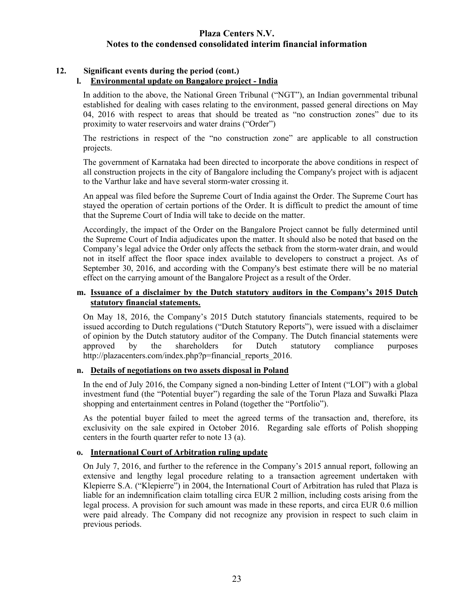# **12. Significant events during the period (cont.)**

# **l. Environmental update on Bangalore project - India**

In addition to the above, the National Green Tribunal ("NGT"), an Indian governmental tribunal established for dealing with cases relating to the environment, passed general directions on May 04, 2016 with respect to areas that should be treated as "no construction zones" due to its proximity to water reservoirs and water drains ("Order")

The restrictions in respect of the "no construction zone" are applicable to all construction projects.

The government of Karnataka had been directed to incorporate the above conditions in respect of all construction projects in the city of Bangalore including the Company's project with is adjacent to the Varthur lake and have several storm-water crossing it.

An appeal was filed before the Supreme Court of India against the Order. The Supreme Court has stayed the operation of certain portions of the Order. It is difficult to predict the amount of time that the Supreme Court of India will take to decide on the matter.

Accordingly, the impact of the Order on the Bangalore Project cannot be fully determined until the Supreme Court of India adjudicates upon the matter. It should also be noted that based on the Company's legal advice the Order only affects the setback from the storm-water drain, and would not in itself affect the floor space index available to developers to construct a project. As of September 30, 2016, and according with the Company's best estimate there will be no material effect on the carrying amount of the Bangalore Project as a result of the Order.

# **m. Issuance of a disclaimer by the Dutch statutory auditors in the Company's 2015 Dutch statutory financial statements.**

On May 18, 2016, the Company's 2015 Dutch statutory financials statements, required to be issued according to Dutch regulations ("Dutch Statutory Reports"), were issued with a disclaimer of opinion by the Dutch statutory auditor of the Company. The Dutch financial statements were approved by the shareholders for Dutch statutory compliance purposes [http://plazacenters.com/index.php?p=financial\\_reports\\_2016.](http://plazacenters.com/index.php?p=financial_reports_2016)

# **n. Details of negotiations on two assets disposal in Poland**

In the end of July 2016, the Company signed a non-binding Letter of Intent ("LOI") with a global investment fund (the "Potential buyer") regarding the sale of the Torun Plaza and Suwałki Plaza shopping and entertainment centres in Poland (together the "Portfolio").

As the potential buyer failed to meet the agreed terms of the transaction and, therefore, its exclusivity on the sale expired in October 2016. Regarding sale efforts of Polish shopping centers in the fourth quarter refer to note 13 (a).

# **o. International Court of Arbitration ruling update**

On July 7, 2016, and further to the reference in the Company's 2015 annual report, following an extensive and lengthy legal procedure relating to a transaction agreement undertaken with Klepierre S.A. ("Klepierre") in 2004, the International Court of Arbitration has ruled that Plaza is liable for an indemnification claim totalling circa EUR 2 million, including costs arising from the legal process. A provision for such amount was made in these reports, and circa EUR 0.6 million were paid already. The Company did not recognize any provision in respect to such claim in previous periods.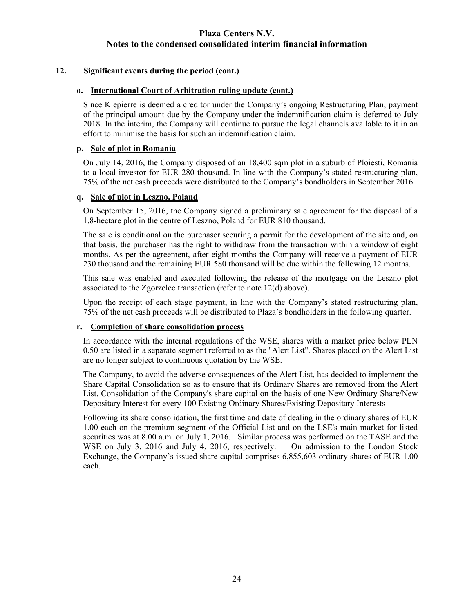# **12. Significant events during the period (cont.)**

# **o. International Court of Arbitration ruling update (cont.)**

Since Klepierre is deemed a creditor under the Company's ongoing Restructuring Plan, payment of the principal amount due by the Company under the indemnification claim is deferred to July 2018. In the interim, the Company will continue to pursue the legal channels available to it in an effort to minimise the basis for such an indemnification claim.

### **p. Sale of plot in Romania**

On July 14, 2016, the Company disposed of an 18,400 sqm plot in a suburb of Ploiesti, Romania to a local investor for EUR 280 thousand. In line with the Company's stated restructuring plan, 75% of the net cash proceeds were distributed to the Company's bondholders in September 2016.

### **q. Sale of plot in Leszno, Poland**

On September 15, 2016, the Company signed a preliminary sale agreement for the disposal of a 1.8-hectare plot in the centre of Leszno, Poland for EUR 810 thousand.

The sale is conditional on the purchaser securing a permit for the development of the site and, on that basis, the purchaser has the right to withdraw from the transaction within a window of eight months. As per the agreement, after eight months the Company will receive a payment of EUR 230 thousand and the remaining EUR 580 thousand will be due within the following 12 months.

This sale was enabled and executed following the release of the mortgage on the Leszno plot associated to the Zgorzelec transaction (refer to note 12(d) above).

Upon the receipt of each stage payment, in line with the Company's stated restructuring plan, 75% of the net cash proceeds will be distributed to Plaza's bondholders in the following quarter.

# **r. Completion of share consolidation process**

In accordance with the internal regulations of the WSE, shares with a market price below PLN 0.50 are listed in a separate segment referred to as the "Alert List". Shares placed on the Alert List are no longer subject to continuous quotation by the WSE.

The Company, to avoid the adverse consequences of the Alert List, has decided to implement the Share Capital Consolidation so as to ensure that its Ordinary Shares are removed from the Alert List. Consolidation of the Company's share capital on the basis of one New Ordinary Share/New Depositary Interest for every 100 Existing Ordinary Shares/Existing Depositary Interests

Following its share consolidation, the first time and date of dealing in the ordinary shares of EUR 1.00 each on the premium segment of the Official List and on the LSE's main market for listed securities was at 8.00 a.m. on July 1, 2016. Similar process was performed on the TASE and the WSE on July 3, 2016 and July 4, 2016, respectively. On admission to the London Stock Exchange, the Company's issued share capital comprises 6,855,603 ordinary shares of EUR 1.00 each.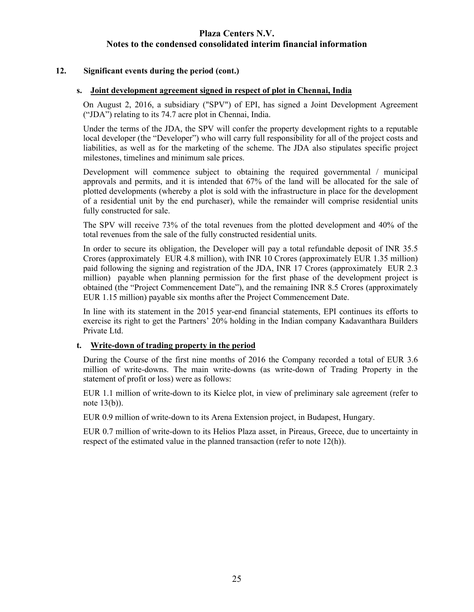### **12. Significant events during the period (cont.)**

### **s. Joint development agreement signed in respect of plot in Chennai, India**

On August 2, 2016, a subsidiary ("SPV") of EPI, has signed a Joint Development Agreement ("JDA") relating to its 74.7 acre plot in Chennai, India.

Under the terms of the JDA, the SPV will confer the property development rights to a reputable local developer (the "Developer") who will carry full responsibility for all of the project costs and liabilities, as well as for the marketing of the scheme. The JDA also stipulates specific project milestones, timelines and minimum sale prices.

Development will commence subject to obtaining the required governmental / municipal approvals and permits, and it is intended that 67% of the land will be allocated for the sale of plotted developments (whereby a plot is sold with the infrastructure in place for the development of a residential unit by the end purchaser), while the remainder will comprise residential units fully constructed for sale.

The SPV will receive 73% of the total revenues from the plotted development and 40% of the total revenues from the sale of the fully constructed residential units.

In order to secure its obligation, the Developer will pay a total refundable deposit of INR 35.5 Crores (approximately EUR 4.8 million), with INR 10 Crores (approximately EUR 1.35 million) paid following the signing and registration of the JDA, INR 17 Crores (approximately EUR 2.3 million) payable when planning permission for the first phase of the development project is obtained (the "Project Commencement Date"), and the remaining INR 8.5 Crores (approximately EUR 1.15 million) payable six months after the Project Commencement Date.

In line with its statement in the 2015 year-end financial statements, EPI continues its efforts to exercise its right to get the Partners' 20% holding in the Indian company Kadavanthara Builders Private Ltd.

### **t. Write-down of trading property in the period**

During the Course of the first nine months of 2016 the Company recorded a total of EUR 3.6 million of write-downs. The main write-downs (as write-down of Trading Property in the statement of profit or loss) were as follows:

EUR 1.1 million of write-down to its Kielce plot, in view of preliminary sale agreement (refer to note 13(b)).

EUR 0.9 million of write-down to its Arena Extension project, in Budapest, Hungary.

EUR 0.7 million of write-down to its Helios Plaza asset, in Pireaus, Greece, due to uncertainty in respect of the estimated value in the planned transaction (refer to note 12(h)).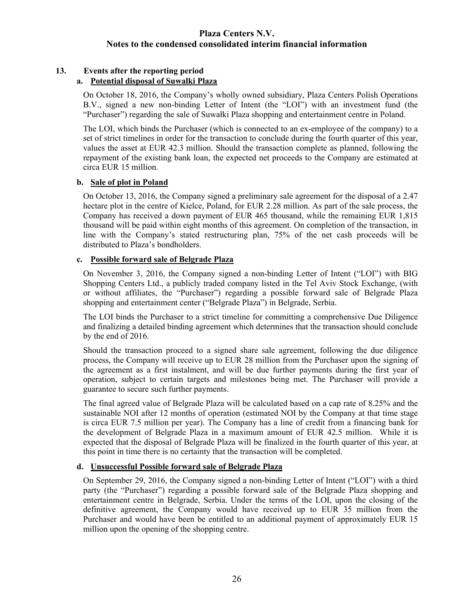# **13. Events after the reporting period**

# **a. Potential disposal of Suwalki Plaza**

On October 18, 2016, the Company's wholly owned subsidiary, Plaza Centers Polish Operations B.V., signed a new non-binding Letter of Intent (the "LOI") with an investment fund (the "Purchaser") regarding the sale of Suwałki Plaza shopping and entertainment centre in Poland.

The LOI, which binds the Purchaser (which is connected to an ex-employee of the company) to a set of strict timelines in order for the transaction to conclude during the fourth quarter of this year, values the asset at EUR 42.3 million. Should the transaction complete as planned, following the repayment of the existing bank loan, the expected net proceeds to the Company are estimated at circa EUR 15 million.

# **b. Sale of plot in Poland**

On October 13, 2016, the Company signed a preliminary sale agreement for the disposal of a 2.47 hectare plot in the centre of Kielce, Poland, for EUR 2.28 million. As part of the sale process, the Company has received a down payment of EUR 465 thousand, while the remaining EUR 1,815 thousand will be paid within eight months of this agreement. On completion of the transaction, in line with the Company's stated restructuring plan, 75% of the net cash proceeds will be distributed to Plaza's bondholders.

# **c. Possible forward sale of Belgrade Plaza**

On November 3, 2016, the Company signed a non-binding Letter of Intent ("LOI") with BIG Shopping Centers Ltd., a publicly traded company listed in the Tel Aviv Stock Exchange, (with or without affiliates, the "Purchaser") regarding a possible forward sale of Belgrade Plaza shopping and entertainment center ("Belgrade Plaza") in Belgrade, Serbia.

The LOI binds the Purchaser to a strict timeline for committing a comprehensive Due Diligence and finalizing a detailed binding agreement which determines that the transaction should conclude by the end of 2016.

Should the transaction proceed to a signed share sale agreement, following the due diligence process, the Company will receive up to EUR 28 million from the Purchaser upon the signing of the agreement as a first instalment, and will be due further payments during the first year of operation, subject to certain targets and milestones being met. The Purchaser will provide a guarantee to secure such further payments.

The final agreed value of Belgrade Plaza will be calculated based on a cap rate of 8.25% and the sustainable NOI after 12 months of operation (estimated NOI by the Company at that time stage is circa EUR 7.5 million per year). The Company has a line of credit from a financing bank for the development of Belgrade Plaza in a maximum amount of EUR 42.5 million. While it is expected that the disposal of Belgrade Plaza will be finalized in the fourth quarter of this year, at this point in time there is no certainty that the transaction will be completed.

# **d. Unsuccessful Possible forward sale of Belgrade Plaza**

On September 29, 2016, the Company signed a non-binding Letter of Intent ("LOI") with a third party (the "Purchaser") regarding a possible forward sale of the Belgrade Plaza shopping and entertainment centre in Belgrade, Serbia. Under the terms of the LOI, upon the closing of the definitive agreement, the Company would have received up to EUR 35 million from the Purchaser and would have been be entitled to an additional payment of approximately EUR 15 million upon the opening of the shopping centre.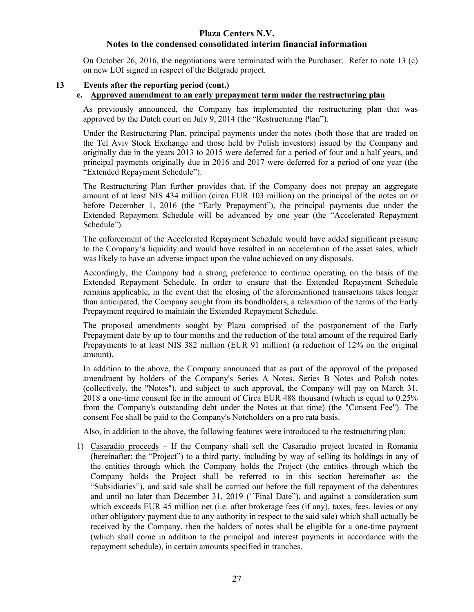# **Plaza Centers N.V.**

# **Notes to the condensed consolidated interim financial information**

On October 26, 2016, the negotiations were terminated with the Purchaser. Refer to note 13 (c) on new LOI signed in respect of the Belgrade project.

# **13 Events after the reporting period (cont.)**

# **e. Approved amendment to an early prepayment term under the restructuring plan**

As previously announced, the Company has implemented the restructuring plan that was approved by the Dutch court on July 9, 2014 (the "Restructuring Plan").

Under the Restructuring Plan, principal payments under the notes (both those that are traded on the Tel Aviv Stock Exchange and those held by Polish investors) issued by the Company and originally due in the years 2013 to 2015 were deferred for a period of four and a half years, and principal payments originally due in 2016 and 2017 were deferred for a period of one year (the "Extended Repayment Schedule").

The Restructuring Plan further provides that, if the Company does not prepay an aggregate amount of at least NIS 434 million (circa EUR 103 million) on the principal of the notes on or before December 1, 2016 (the "Early Prepayment"), the principal payments due under the Extended Repayment Schedule will be advanced by one year (the "Accelerated Repayment Schedule").

The enforcement of the Accelerated Repayment Schedule would have added significant pressure to the Company's liquidity and would have resulted in an acceleration of the asset sales, which was likely to have an adverse impact upon the value achieved on any disposals.

Accordingly, the Company had a strong preference to continue operating on the basis of the Extended Repayment Schedule. In order to ensure that the Extended Repayment Schedule remains applicable, in the event that the closing of the aforementioned transactions takes longer than anticipated, the Company sought from its bondholders, a relaxation of the terms of the Early Prepayment required to maintain the Extended Repayment Schedule.

The proposed amendments sought by Plaza comprised of the postponement of the Early Prepayment date by up to four months and the reduction of the total amount of the required Early Prepayments to at least NIS 382 million (EUR 91 million) (a reduction of 12% on the original amount).

In addition to the above, the Company announced that as part of the approval of the proposed amendment by holders of the Company's Series A Notes, Series B Notes and Polish notes (collectively, the "Notes"), and subject to such approval, the Company will pay on March 31, 2018 a one-time consent fee in the amount of Circa EUR 488 thousand (which is equal to 0.25% from the Company's outstanding debt under the Notes at that time) (the "Consent Fee"). The consent Fee shall be paid to the Company's Noteholders on a pro rata basis.

Also, in addition to the above, the following features were introduced to the restructuring plan:

1) Casaradio proceeds – If the Company shall sell the Casaradio project located in Romania (hereinafter: the "Project") to a third party, including by way of selling its holdings in any of the entities through which the Company holds the Project (the entities through which the Company holds the Project shall be referred to in this section hereinafter as: the "Subsidiaries"), and said sale shall be carried out before the full repayment of the debentures and until no later than December 31, 2019 (''Final Date"), and against a consideration sum which exceeds EUR 45 million net (i.e. after brokerage fees (if any), taxes, fees, levies or any other obligatory payment due to any authority in respect to the said sale) which shall actually be received by the Company, then the holders of notes shall be eligible for a one-time payment (which shall come in addition to the principal and interest payments in accordance with the repayment schedule), in certain amounts specified in tranches.